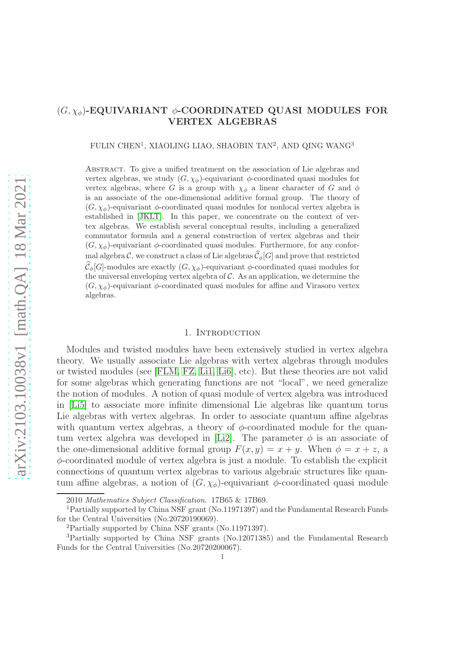# $(G, \chi_{\phi})$ -EQUIVARIANT  $\phi$ -COORDINATED QUASI MODULES FOR VERTEX ALGEBRAS

FULIN CHEN<sup>1</sup>, XIAOLING LIAO, SHAOBIN TAN<sup>2</sup>, AND QING WANG<sup>3</sup>

Abstract. To give a unified treatment on the association of Lie algebras and vertex algebras, we study  $(G, \chi_{\phi})$ -equivariant  $\phi$ -coordinated quasi modules for vertex algebras, where G is a group with  $\chi_{\phi}$  a linear character of G and  $\phi$ is an associate of the one-dimensional additive formal group. The theory of  $(G, \chi_{\phi})$ -equivariant  $\phi$ -coordinated quasi modules for nonlocal vertex algebra is established in [\[JKLT\]](#page-30-0). In this paper, we concentrate on the context of vertex algebras. We establish several conceptual results, including a generalized commutator formula and a general construction of vertex algebras and their  $(G, \chi_{\phi})$ -equivariant  $\phi$ -coordinated quasi modules. Furthermore, for any conformal algebra C, we construct a class of Lie algebras  $\widehat{\mathcal{C}}_{\phi}[G]$  and prove that restricted  $\widehat{\mathcal{C}}_{\phi}[G]$ -modules are exactly  $(G, \chi_{\phi})$ -equivariant  $\phi$ -coordinated quasi modules for the universal enveloping vertex algebra of  $\mathcal C$ . As an application, we determine the  $(G, \chi_{\phi})$ -equivariant  $\phi$ -coordinated quasi modules for affine and Virasoro vertex algebras.

### 1. INTRODUCTION

Modules and twisted modules have been extensively studied in vertex algebra theory. We usually associate Lie algebras with vertex algebras through modules or twisted modules (see [\[FLM,](#page-29-0) [FZ,](#page-29-1) [Li1,](#page-30-1) [Li6\]](#page-30-2), etc). But these theories are not valid for some algebras which generating functions are not "local", we need generalize the notion of modules. A notion of quasi module of vertex algebra was introduced in [\[Li5\]](#page-30-3) to associate more infinite dimensional Lie algebras like quantum torus Lie algebras with vertex algebras. In order to associate quantum affine algebras with quantum vertex algebras, a theory of  $\phi$ -coordinated module for the quan-tum vertex algebra was developed in [\[Li2\]](#page-30-4). The parameter  $\phi$  is an associate of the one-dimensional additive formal group  $F(x, y) = x + y$ . When  $\phi = x + z$ , a  $\phi$ -coordinated module of vertex algebra is just a module. To establish the explicit connections of quantum vertex algebras to various algebraic structures like quantum affine algebras, a notion of  $(G, \chi_{\phi})$ -equivariant  $\phi$ -coordinated quasi module

<sup>2010</sup> Mathematics Subject Classification. 17B65 & 17B69.

<sup>1</sup>Partially supported by China NSF grant (No.11971397) and the Fundamental Research Funds for the Central Universities (No.20720190069).

<sup>2</sup>Partially supported by China NSF grants (No.11971397).

<sup>3</sup>Partially supported by China NSF grants (No.12071385) and the Fundamental Research Funds for the Central Universities (No.20720200067).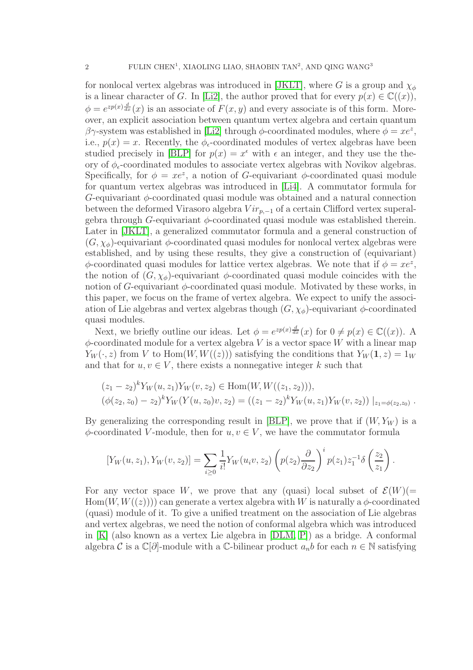for nonlocal vertex algebras was introduced in [\[JKLT\]](#page-30-0), where G is a group and  $\chi_{\phi}$ is a linear character of G. In [\[Li2\]](#page-30-4), the author proved that for every  $p(x) \in \mathbb{C}((x))$ ,  $\phi = e^{zp(x)\frac{d}{dx}}(x)$  is an associate of  $F(x, y)$  and every associate is of this form. Moreover, an explicit association between quantum vertex algebra and certain quantum βγ-system was established in [\[Li2\]](#page-30-4) through  $\phi$ -coordinated modules, where  $\phi = xe^z$ , i.e.,  $p(x) = x$ . Recently, the  $\phi_{\epsilon}$ -coordinated modules of vertex algebras have been studied precisely in [\[BLP\]](#page-29-2) for  $p(x) = x^{\epsilon}$  with  $\epsilon$  an integer, and they use the theory of  $\phi_{\epsilon}$ -coordinated modules to associate vertex algebras with Novikov algebras. Specifically, for  $\phi = xe^z$ , a notion of G-equivariant  $\phi$ -coordinated quasi module for quantum vertex algebras was introduced in [\[Li4\]](#page-30-5). A commutator formula for  $G$ -equivariant  $\phi$ -coordinated quasi module was obtained and a natural connection between the deformed Virasoro algebra  $Vir_{p,-1}$  of a certain Clifford vertex superalgebra through G-equivariant  $\phi$ -coordinated quasi module was established therein. Later in [\[JKLT\]](#page-30-0), a generalized commutator formula and a general construction of  $(G, \chi_{\phi})$ -equivariant  $\phi$ -coordinated quasi modules for nonlocal vertex algebras were established, and by using these results, they give a construction of (equivariant)  $\phi$ -coordinated quasi modules for lattice vertex algebras. We note that if  $\phi = xe^z$ , the notion of  $(G, \chi_{\phi})$ -equivariant  $\phi$ -coordinated quasi module coincides with the notion of G-equivariant  $\phi$ -coordinated quasi module. Motivated by these works, in this paper, we focus on the frame of vertex algebra. We expect to unify the association of Lie algebras and vertex algebras though  $(G, \chi_{\phi})$ -equivariant  $\phi$ -coordinated quasi modules.

Next, we briefly outline our ideas. Let  $\phi = e^{zp(x)\frac{d}{dx}}(x)$  for  $0 \neq p(x) \in \mathbb{C}((x))$ . A  $\phi$ -coordinated module for a vertex algebra V is a vector space W with a linear map  $Y_W(\cdot, z)$  from V to Hom $(W, W((z)))$  satisfying the conditions that  $Y_W(1, z) = 1_W$ and that for  $u, v \in V$ , there exists a nonnegative integer k such that

$$
(z_1 - z_2)^k Y_W(u, z_1) Y_W(v, z_2) \in \text{Hom}(W, W((z_1, z_2))),
$$
  

$$
(\phi(z_2, z_0) - z_2)^k Y_W(Y(u, z_0)v, z_2) = ((z_1 - z_2)^k Y_W(u, z_1) Y_W(v, z_2)) |_{z_1 = \phi(z_2, z_0)}.
$$

By generalizing the corresponding result in [\[BLP\]](#page-29-2), we prove that if  $(W, Y_W)$  is a  $\phi$ -coordinated V-module, then for  $u, v \in V$ , we have the commutator formula

$$
[Y_W(u, z_1), Y_W(v, z_2)] = \sum_{i \ge 0} \frac{1}{i!} Y_W(u_i v, z_2) \left( p(z_2) \frac{\partial}{\partial z_2} \right)^i p(z_1) z_1^{-1} \delta \left( \frac{z_2}{z_1} \right)
$$

.

For any vector space W, we prove that any (quasi) local subset of  $\mathcal{E}(W)$ (=  $\text{Hom}(W, W((z)))$  can generate a vertex algebra with W is naturally a  $\phi$ -coordinated (quasi) module of it. To give a unified treatment on the association of Lie algebras and vertex algebras, we need the notion of conformal algebra which was introduced in [\[K\]](#page-30-6) (also known as a vertex Lie algebra in [\[DLM,](#page-29-3) [P\]](#page-30-7)) as a bridge. A conformal algebra C is a  $\mathbb{C}[\partial]$ -module with a C-bilinear product  $a_n b$  for each  $n \in \mathbb{N}$  satisfying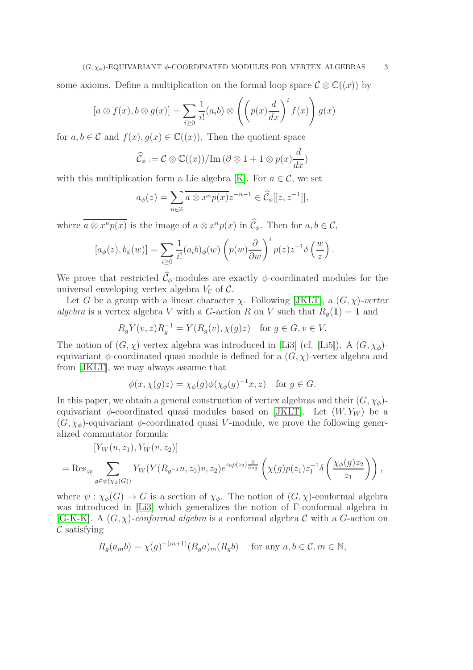some axioms. Define a multiplication on the formal loop space  $\mathcal{C} \otimes \mathbb{C}((x))$  by

$$
[a \otimes f(x), b \otimes g(x)] = \sum_{i \ge 0} \frac{1}{i!} (a_i b) \otimes \left( \left( p(x) \frac{d}{dx} \right)^i f(x) \right) g(x)
$$

for  $a, b \in \mathcal{C}$  and  $f(x), g(x) \in \mathbb{C}((x))$ . Then the quotient space

$$
\widehat{\mathcal{C}}_{\phi} := \mathcal{C} \otimes \mathbb{C}((x)) / \mathrm{Im}(\partial \otimes 1 + 1 \otimes p(x) \frac{d}{dx})
$$

with this multiplication form a Lie algebra [\[K\]](#page-30-6). For  $a \in \mathcal{C}$ , we set

$$
a_{\phi}(z) = \sum_{n \in \mathbb{Z}} \overline{a \otimes x^n p(x)} z^{-n-1} \in \widehat{\mathcal{C}}_{\phi}[[z, z^{-1}]],
$$

where  $\overline{a \otimes x^n p(x)}$  is the image of  $a \otimes x^n p(x)$  in  $\mathcal{C}_{\phi}$ . Then for  $a, b \in \mathcal{C}$ ,

$$
[a_{\phi}(z), b_{\phi}(w)] = \sum_{i \geq 0} \frac{1}{i!} (a_i b)_{\phi}(w) \left( p(w) \frac{\partial}{\partial w} \right)^i p(z) z^{-1} \delta \left( \frac{w}{z} \right).
$$

We prove that restricted  $\widehat{\mathcal{C}}_{\phi}$ -modules are exactly  $\phi$ -coordinated modules for the universal enveloping vertex algebra  $V_c$  of  $\mathcal{C}$ .

Let G be a group with a linear character  $\chi$ . Following [\[JKLT\]](#page-30-0), a  $(G, \chi)$ -vertex algebra is a vertex algebra V with a G-action R on V such that  $R_q(1) = 1$  and

$$
R_g Y(v, z) R_g^{-1} = Y(R_g(v), \chi(g)z) \text{ for } g \in G, v \in V.
$$

The notion of  $(G, \chi)$ -vertex algebra was introduced in [\[Li3\]](#page-30-8) (cf. [\[Li5\]](#page-30-3)). A  $(G, \chi_{\phi})$ equivariant  $\phi$ -coordinated quasi module is defined for a  $(G, \chi)$ -vertex algebra and from [\[JKLT\]](#page-30-0), we may always assume that

$$
\phi(x, \chi(g)z) = \chi_{\phi}(g)\phi(\chi_{\phi}(g)^{-1}x, z) \text{ for } g \in G.
$$

In this paper, we obtain a general construction of vertex algebras and their  $(G, \chi_{\phi})$ equivariant  $\phi$ -coordinated quasi modules based on [\[JKLT\]](#page-30-0). Let  $(W, Y_W)$  be a  $(G, \chi_{\phi})$ -equivariant  $\phi$ -coordinated quasi V-module, we prove the following generalized commutator formula:

$$
[Y_W(u, z_1), Y_W(v, z_2)]
$$
  
= Res<sub>z<sub>0</sub></sub>  $\sum_{g \in \psi(\chi_{\phi}(G))} Y_W(Y(R_{g^{-1}}u, z_0)v, z_2) e^{z_0 p(z_2) \frac{\partial}{\partial z_2}} \left(\chi(g) p(z_1) z_1^{-1} \delta\left(\frac{\chi_{\phi}(g) z_2}{z_1}\right)\right),$ 

where  $\psi : \chi_{\phi}(G) \to G$  is a section of  $\chi_{\phi}$ . The notion of  $(G, \chi)$ -conformal algebra was introduced in [\[Li3\]](#page-30-8) which generalizes the notion of Γ-conformal algebra in [\[G-K-K\]](#page-29-4). A  $(G, \chi)$ -conformal algebra is a conformal algebra C with a G-action on  $\mathcal C$  satisfying

$$
R_g(a_m b) = \chi(g)^{-(m+1)}(R_g a)_m(R_g b) \quad \text{ for any } a, b \in \mathcal{C}, m \in \mathbb{N},
$$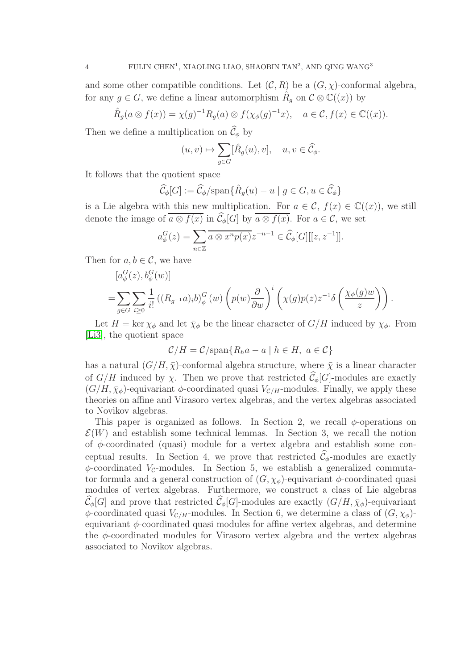and some other compatible conditions. Let  $(C, R)$  be a  $(G, \chi)$ -conformal algebra, for any  $g \in G$ , we define a linear automorphism  $\hat{R}_g$  on  $\mathcal{C} \otimes \mathbb{C}((x))$  by

$$
\hat{R}_g(a\otimes f(x))=\chi(g)^{-1}R_g(a)\otimes f(\chi_{\phi}(g)^{-1}x), \quad a\in\mathcal{C}, f(x)\in\mathbb{C}((x)).
$$

Then we define a multiplication on  $\widehat{\mathcal{C}}_{\phi}$  by

$$
(u,v)\mapsto \sum_{g\in G} [\hat R_g(u),v],\quad u,v\in \widehat{\mathcal C}_\phi.
$$

It follows that the quotient space

$$
\widehat{\mathcal{C}}_{\phi}[G] := \widehat{\mathcal{C}}_{\phi}/\text{span}\{\widehat{R}_g(u) - u \mid g \in G, u \in \widehat{\mathcal{C}}_{\phi}\}\
$$

is a Lie algebra with this new multiplication. For  $a \in \mathcal{C}$ ,  $f(x) \in \mathbb{C}((x))$ , we still denote the image of  $\overline{a \otimes f(x)}$  in  $\widehat{C}_{\phi}[G]$  by  $\overline{a \otimes f(x)}$ . For  $a \in \mathcal{C}$ , we set

$$
a_{\phi}^{G}(z) = \sum_{n \in \mathbb{Z}} \overline{a \otimes x^{n} p(x)} z^{-n-1} \in \widehat{\mathcal{C}}_{\phi}[G][[z, z^{-1}]].
$$

Then for  $a, b \in \mathcal{C}$ , we have

$$
[a^G_{\phi}(z), b^G_{\phi}(w)]
$$
  
=
$$
\sum_{g\in G} \sum_{i\geq 0} \frac{1}{i!} ((R_{g^{-1}}a)_i b)^G_{\phi}(w) \left( p(w) \frac{\partial}{\partial w} \right)^i \left( \chi(g) p(z) z^{-1} \delta \left( \frac{\chi_{\phi}(g) w}{z} \right) \right).
$$

Let  $H = \ker \chi_{\phi}$  and let  $\bar{\chi}_{\phi}$  be the linear character of  $G/H$  induced by  $\chi_{\phi}$ . From [\[Li3\]](#page-30-8), the quotient space

$$
\mathcal{C}/H = \mathcal{C}/\mathrm{span}\{R_h a - a \mid h \in H, \ a \in \mathcal{C}\}\
$$

has a natural  $(G/H, \bar{\chi})$ -conformal algebra structure, where  $\bar{\chi}$  is a linear character of  $G/H$  induced by  $\chi$ . Then we prove that restricted  $\widehat{\mathcal{C}}_{\phi}[G]$ -modules are exactly  $(G/H, \bar{\chi}_{\phi})$ -equivariant  $\phi$ -coordinated quasi  $V_{\mathcal{C}/H}$ -modules. Finally, we apply these theories on affine and Virasoro vertex algebras, and the vertex algebras associated to Novikov algebras.

This paper is organized as follows. In Section 2, we recall  $\phi$ -operations on  $\mathcal{E}(W)$  and establish some technical lemmas. In Section 3, we recall the notion of  $\phi$ -coordinated (quasi) module for a vertex algebra and establish some conceptual results. In Section 4, we prove that restricted  $\hat{\mathcal{C}}_{\phi}$ -modules are exactly  $\phi$ -coordinated V<sub>C</sub>-modules. In Section 5, we establish a generalized commutator formula and a general construction of  $(G, \chi_{\phi})$ -equivariant  $\phi$ -coordinated quasi modules of vertex algebras. Furthermore, we construct a class of Lie algebras  $\widehat{\mathcal{C}}_{\phi}[G]$  and prove that restricted  $\widehat{\mathcal{C}}_{\phi}[G]$ -modules are exactly  $(G/H, \bar{\chi}_{\phi})$ -equivariant  $\phi$ -coordinated quasi  $V_{\mathcal{C}/H}$ -modules. In Section 6, we determine a class of  $(G, \chi_{\phi})$ equivariant  $\phi$ -coordinated quasi modules for affine vertex algebras, and determine the  $\phi$ -coordinated modules for Virasoro vertex algebra and the vertex algebras associated to Novikov algebras.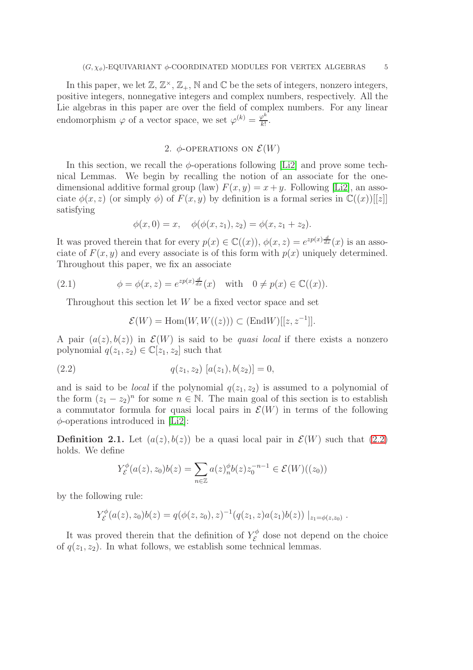In this paper, we let  $\mathbb{Z}, \mathbb{Z}^{\times}, \mathbb{Z}_{+}, \mathbb{N}$  and  $\mathbb{C}$  be the sets of integers, nonzero integers, positive integers, nonnegative integers and complex numbers, respectively. All the Lie algebras in this paper are over the field of complex numbers. For any linear endomorphism  $\varphi$  of a vector space, we set  $\varphi^{(k)} = \frac{\varphi^k}{k!}$  $\frac{\rho^n}{k!}$ .

## 2.  $\phi$ -OPERATIONS ON  $\mathcal{E}(W)$

In this section, we recall the  $\phi$ -operations following [\[Li2\]](#page-30-4) and prove some technical Lemmas. We begin by recalling the notion of an associate for the onedimensional additive formal group (law)  $F(x, y) = x + y$ . Following [\[Li2\]](#page-30-4), an associate  $\phi(x, z)$  (or simply  $\phi$ ) of  $F(x, y)$  by definition is a formal series in  $\mathbb{C}((x))[[z]]$ satisfying

$$
\phi(x,0) = x, \quad \phi(\phi(x,z_1),z_2) = \phi(x,z_1+z_2).
$$

It was proved therein that for every  $p(x) \in \mathbb{C}((x))$ ,  $\phi(x, z) = e^{zp(x)\frac{d}{dx}(x)}$  is an associate of  $F(x, y)$  and every associate is of this form with  $p(x)$  uniquely determined. Throughout this paper, we fix an associate

(2.1) 
$$
\phi = \phi(x, z) = e^{zp(x)\frac{d}{dx}}(x) \text{ with } 0 \neq p(x) \in \mathbb{C}((x)).
$$

Throughout this section let  $W$  be a fixed vector space and set

$$
\mathcal{E}(W) = \text{Hom}(W, W((z))) \subset (\text{End}W)[[z, z^{-1}]].
$$

A pair  $(a(z), b(z))$  in  $\mathcal{E}(W)$  is said to be *quasi local* if there exists a nonzero polynomial  $q(z_1, z_2) \in \mathbb{C}[z_1, z_2]$  such that

<span id="page-4-0"></span>(2.2) 
$$
q(z_1, z_2) [a(z_1), b(z_2)] = 0,
$$

and is said to be *local* if the polynomial  $q(z_1, z_2)$  is assumed to a polynomial of the form  $(z_1 - z_2)^n$  for some  $n \in \mathbb{N}$ . The main goal of this section is to establish a commutator formula for quasi local pairs in  $\mathcal{E}(W)$  in terms of the following  $\phi$ -operations introduced in [\[Li2\]](#page-30-4):

<span id="page-4-1"></span>**Definition 2.1.** Let  $(a(z), b(z))$  be a quasi local pair in  $\mathcal{E}(W)$  such that [\(2.2\)](#page-4-0) holds. We define

$$
Y_{\mathcal{E}}^{\phi}(a(z), z_0)b(z) = \sum_{n \in \mathbb{Z}} a(z)_n^{\phi} b(z) z_0^{-n-1} \in \mathcal{E}(W)((z_0))
$$

by the following rule:

$$
Y_{\mathcal{E}}^{\phi}(a(z),z_0)b(z) = q(\phi(z,z_0),z)^{-1}(q(z_1,z)a(z_1)b(z))\big|_{z_1=\phi(z,z_0)}.
$$

It was proved therein that the definition of  $Y_{\mathcal{E}}^{\phi}$  dose not depend on the choice of  $q(z_1, z_2)$ . In what follows, we establish some technical lemmas.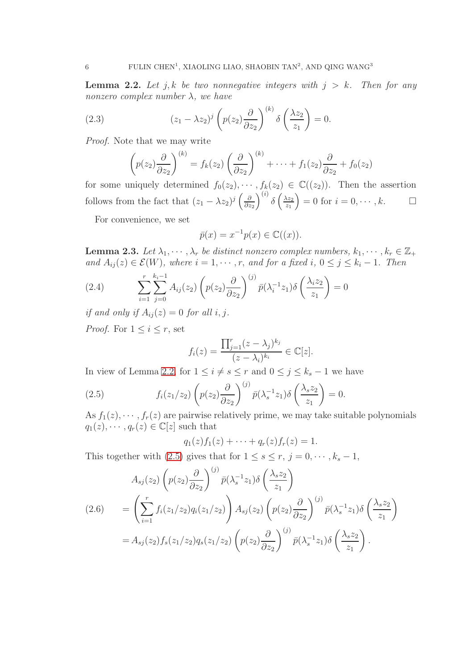<span id="page-5-0"></span>**Lemma 2.2.** Let j, k be two nonnegative integers with  $j > k$ . Then for any nonzero complex number  $\lambda$ , we have

<span id="page-5-5"></span>(2.3) 
$$
(z_1 - \lambda z_2)^j \left( p(z_2) \frac{\partial}{\partial z_2} \right)^{(k)} \delta \left( \frac{\lambda z_2}{z_1} \right) = 0.
$$

Proof. Note that we may write

$$
\left(p(z_2)\frac{\partial}{\partial z_2}\right)^{(k)}=f_k(z_2)\left(\frac{\partial}{\partial z_2}\right)^{(k)}+\cdots+f_1(z_2)\frac{\partial}{\partial z_2}+f_0(z_2)
$$

for some uniquely determined  $f_0(z_2), \cdots, f_k(z_2) \in \mathbb{C}((z_2))$ . Then the assertion follows from the fact that  $(z_1 - \lambda z_2)^j \left( \frac{\partial}{\partial z_1} \right)$  $\partial z_2$  $\int^{(i)} \delta \left( \frac{\lambda z_2}{z_1} \right)$  $\overline{z_1}$  $= 0$  for  $i = 0, \dots, k$ .

For convenience, we set

$$
\bar{p}(x) = x^{-1}p(x) \in \mathbb{C}((x)).
$$

<span id="page-5-4"></span>**Lemma 2.3.** Let  $\lambda_1, \dots, \lambda_r$  be distinct nonzero complex numbers,  $k_1, \dots, k_r \in \mathbb{Z}_+$ and  $A_{ij}(z) \in \mathcal{E}(W)$ , where  $i = 1, \dots, r$ , and for a fixed i,  $0 \leq j \leq k_i - 1$ . Then

<span id="page-5-2"></span>(2.4) 
$$
\sum_{i=1}^{r} \sum_{j=0}^{k_i-1} A_{ij}(z_2) \left( p(z_2) \frac{\partial}{\partial z_2} \right)^{(j)} \bar{p}(\lambda_i^{-1} z_1) \delta \left( \frac{\lambda_i z_2}{z_1} \right) = 0
$$

if and only if  $A_{ii}(z) = 0$  for all i, j.

*Proof.* For  $1 \leq i \leq r$ , set

$$
f_i(z) = \frac{\prod_{j=1}^r (z - \lambda_j)^{k_j}}{(z - \lambda_i)^{k_i}} \in \mathbb{C}[z].
$$

In view of Lemma [2.2,](#page-5-0) for  $1 \leq i \neq s \leq r$  and  $0 \leq j \leq k_s - 1$  we have

<span id="page-5-1"></span>(2.5) 
$$
f_i(z_1/z_2)\left(p(z_2)\frac{\partial}{\partial z_2}\right)^{(j)}\bar{p}(\lambda_s^{-1}z_1)\delta\left(\frac{\lambda_s z_2}{z_1}\right)=0.
$$

As  $f_1(z), \dots, f_r(z)$  are pairwise relatively prime, we may take suitable polynomials  $q_1(z), \cdots, q_r(z) \in \mathbb{C}[z]$  such that

$$
q_1(z) f_1(z) + \cdots + q_r(z) f_r(z) = 1.
$$

This together with [\(2.5\)](#page-5-1) gives that for  $1 \leq s \leq r, j = 0, \dots, k_s - 1$ ,

<span id="page-5-3"></span>
$$
A_{sj}(z_2) \left( p(z_2) \frac{\partial}{\partial z_2} \right)^{(j)} \bar{p}(\lambda_s^{-1} z_1) \delta \left( \frac{\lambda_s z_2}{z_1} \right)
$$
  
\n
$$
(2.6) \qquad = \left( \sum_{i=1}^r f_i(z_1/z_2) q_i(z_1/z_2) \right) A_{sj}(z_2) \left( p(z_2) \frac{\partial}{\partial z_2} \right)^{(j)} \bar{p}(\lambda_s^{-1} z_1) \delta \left( \frac{\lambda_s z_2}{z_1} \right)
$$
  
\n
$$
= A_{sj}(z_2) f_s(z_1/z_2) q_s(z_1/z_2) \left( p(z_2) \frac{\partial}{\partial z_2} \right)^{(j)} \bar{p}(\lambda_s^{-1} z_1) \delta \left( \frac{\lambda_s z_2}{z_1} \right).
$$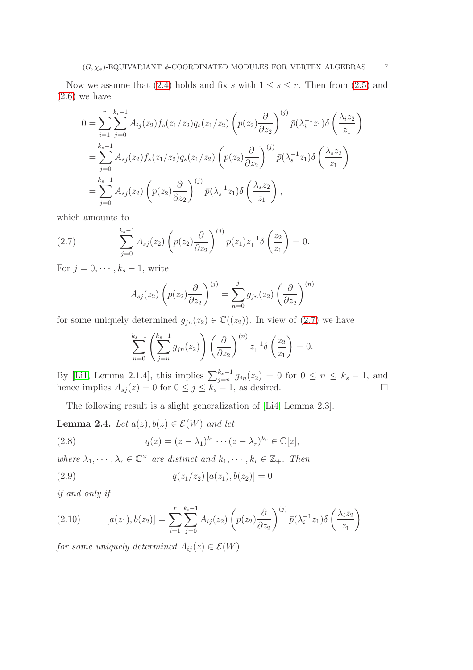Now we assume that [\(2.4\)](#page-5-2) holds and fix s with  $1 \leq s \leq r$ . Then from [\(2.5\)](#page-5-1) and  $(2.6)$  we have

$$
0 = \sum_{i=1}^{r} \sum_{j=0}^{k_i-1} A_{ij}(z_2) f_s(z_1/z_2) q_s(z_1/z_2) \left( p(z_2) \frac{\partial}{\partial z_2} \right)^{(j)} \bar{p}(\lambda_i^{-1} z_1) \delta \left( \frac{\lambda_i z_2}{z_1} \right)
$$
  
= 
$$
\sum_{j=0}^{k_s-1} A_{sj}(z_2) f_s(z_1/z_2) q_s(z_1/z_2) \left( p(z_2) \frac{\partial}{\partial z_2} \right)^{(j)} \bar{p}(\lambda_s^{-1} z_1) \delta \left( \frac{\lambda_s z_2}{z_1} \right)
$$
  
= 
$$
\sum_{j=0}^{k_s-1} A_{sj}(z_2) \left( p(z_2) \frac{\partial}{\partial z_2} \right)^{(j)} \bar{p}(\lambda_s^{-1} z_1) \delta \left( \frac{\lambda_s z_2}{z_1} \right),
$$

which amounts to

(2.7) 
$$
\sum_{j=0}^{k_s-1} A_{sj}(z_2) \left( p(z_2) \frac{\partial}{\partial z_2} \right)^{(j)} p(z_1) z_1^{-1} \delta \left( \frac{z_2}{z_1} \right) = 0.
$$

For  $j = 0, \dots, k_s - 1$ , write

<span id="page-6-0"></span>
$$
A_{sj}(z_2)\left(p(z_2)\frac{\partial}{\partial z_2}\right)^{(j)} = \sum_{n=0}^j g_{jn}(z_2)\left(\frac{\partial}{\partial z_2}\right)^{(n)}
$$

for some uniquely determined  $g_{jn}(z_2) \in \mathbb{C}((z_2))$ . In view of  $(2.7)$  we have

$$
\sum_{n=0}^{k_s-1} \left( \sum_{j=n}^{k_s-1} g_{jn}(z_2) \right) \left( \frac{\partial}{\partial z_2} \right)^{(n)} z_1^{-1} \delta \left( \frac{z_2}{z_1} \right) = 0.
$$

By [\[Li1,](#page-30-1) Lemma 2.1.4], this implies  $\sum_{j=n}^{k_s-1} g_{jn}(z_2) = 0$  for  $0 \le n \le k_s - 1$ , and hence implies  $A_{sj}(z) = 0$  for  $0 \le j \le k_s - 1$ , as desired.

The following result is a slight generalization of [\[Li4,](#page-30-5) Lemma 2.3].

**Lemma 2.4.** Let  $a(z), b(z) \in \mathcal{E}(W)$  and let

<span id="page-6-3"></span>(2.8) 
$$
q(z) = (z - \lambda_1)^{k_1} \cdots (z - \lambda_r)^{k_r} \in \mathbb{C}[z],
$$

where  $\lambda_1, \dots, \lambda_r \in \mathbb{C}^\times$  are distinct and  $k_1, \dots, k_r \in \mathbb{Z}_+$ . Then

<span id="page-6-1"></span>(2.9) 
$$
q(z_1/z_2) [a(z_1), b(z_2)] = 0
$$

if and only if

<span id="page-6-2"></span>(2.10) 
$$
[a(z_1), b(z_2)] = \sum_{i=1}^r \sum_{j=0}^{k_i-1} A_{ij}(z_2) \left( p(z_2) \frac{\partial}{\partial z_2} \right)^{(j)} \bar{p}(\lambda_i^{-1} z_1) \delta \left( \frac{\lambda_i z_2}{z_1} \right)
$$

for some uniquely determined  $A_{ij}(z) \in \mathcal{E}(W)$ .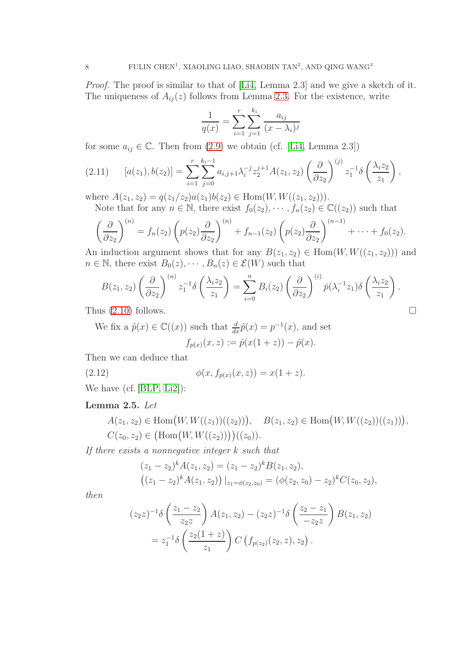Proof. The proof is similar to that of [\[Li4,](#page-30-5) Lemma 2.3] and we give a sketch of it. The uniqueness of  $A_{ij}(z)$  follows from Lemma [2.3.](#page-5-4) For the existence, write

$$
\frac{1}{q(x)} = \sum_{i=1}^{r} \sum_{j=1}^{k_i} \frac{a_{ij}}{(x - \lambda_i)^j}
$$

for some  $a_{ij} \in \mathbb{C}$ . Then from [\(2.9\)](#page-6-1) we obtain (cf. [\[Li4,](#page-30-5) Lemma 2.3])

$$
(2.11) \t [a(z_1), b(z_2)] = \sum_{i=1}^r \sum_{j=0}^{k_i-1} a_{i,j+1} \lambda_i^{-j} z_2^{j+1} A(z_1, z_2) \left(\frac{\partial}{\partial z_2}\right)^{(j)} z_1^{-1} \delta\left(\frac{\lambda_i z_2}{z_1}\right),
$$

where  $A(z_1, z_2) = q(z_1/z_2)a(z_1)b(z_2) \in \text{Hom}(W, W((z_1, z_2))).$ Note that for any  $n \in \mathbb{N}$ , there exist  $f_0(z_2), \dots, f_n(z_n) \in \mathbb{C}((z_2))$  such that

$$
\left(\frac{\partial}{\partial x}\right)^{(n)} = f_n(z_2) \left(p(z_2) \frac{\partial}{\partial x}\right)^{(n)} + f_{n-1}(z_2) \left(p(z_2) \frac{\partial}{\partial x}\right)^{(n-1)} + \dots + f_0(z_2).
$$

 $\left(\overline{\partial z_2}\right)$  $\partial z_2$  $\partial z_2$ An induction argument shows that for any  $B(z_1, z_2) \in \text{Hom}(W, W((z_1, z_2)))$  and  $n \in \mathbb{N}$ , there exist  $B_0(z), \dots, B_n(z) \in \mathcal{E}(W)$  such that

$$
B(z_1, z_2) \left(\frac{\partial}{\partial z_2}\right)^{(n)} z_1^{-1} \delta\left(\frac{\lambda_i z_2}{z_1}\right) = \sum_{i=0}^n B_i(z_2) \left(\frac{\partial}{\partial z_2}\right)^{(i)} \bar{p}(\lambda_i^{-1} z_1) \delta\left(\frac{\lambda_i z_2}{z_1}\right).
$$

Thus [\(2.10\)](#page-6-2) follows.

We fix a  $\hat{p}(x) \in \mathbb{C}((x))$  such that  $\frac{d}{dx}\hat{p}(x) = p^{-1}(x)$ , and set  $f_{p(x)}(x, z) := \hat{p}(x(1 + z)) - \hat{p}(x).$ 

Then we can deduce that

<span id="page-7-0"></span>(2.12) 
$$
\phi(x, f_{p(x)}(x, z)) = x(1 + z).
$$

We have (cf. [\[BLP,](#page-29-2) [Li2\]](#page-30-4)):

## <span id="page-7-1"></span>Lemma 2.5. Let

 $A(z_1, z_2) \in \text{Hom}(W, W((z_1))((z_2))), B(z_1, z_2) \in \text{Hom}(W, W((z_2))((z_1))),$  $C(z_0, z_2) \in \big(\text{Hom}(W, W((z_2))\big)\big)((z_0)).$ 

If there exists a nonnegative integer k such that

$$
(z_1 - z_2)^k A(z_1, z_2) = (z_1 - z_2)^k B(z_1, z_2),
$$
  

$$
((z_1 - z_2)^k A(z_1, z_2)) |_{z_1 = \phi(z_2, z_0)} = (\phi(z_2, z_0) - z_2)^k C(z_0, z_2),
$$

then

$$
(z_2 z)^{-1} \delta\left(\frac{z_1 - z_2}{z_2 z}\right) A(z_1, z_2) - (z_2 z)^{-1} \delta\left(\frac{z_2 - z_1}{z_2 z}\right) B(z_1, z_2)
$$
  
=  $z_1^{-1} \delta\left(\frac{z_2(1 + z)}{z_1}\right) C\left(f_{p(z_2)}(z_2, z), z_2\right).$ 

$$
\qquad \qquad \Box
$$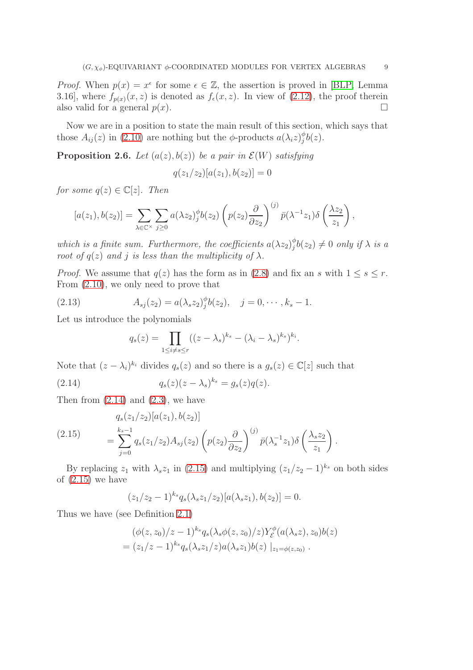*Proof.* When  $p(x) = x^{\epsilon}$  for some  $\epsilon \in \mathbb{Z}$ , the assertion is proved in [\[BLP,](#page-29-2) Lemma 3.16], where  $f_{p(x)}(x, z)$  is denoted as  $f_{\epsilon}(x, z)$ . In view of [\(2.12\)](#page-7-0), the proof therein also valid for a general  $p(x)$ .

Now we are in a position to state the main result of this section, which says that those  $A_{ij}(z)$  in [\(2.10\)](#page-6-2) are nothing but the  $\phi$ -products  $a(\lambda_i z)_{i}^{\phi}$  $_{j}^{\varphi}b(z).$ 

<span id="page-8-3"></span>**Proposition 2.6.** Let  $(a(z), b(z))$  be a pair in  $\mathcal{E}(W)$  satisfying

$$
q(z_1/z_2)[a(z_1), b(z_2)] = 0
$$

for some  $q(z) \in \mathbb{C}[z]$ . Then

$$
[a(z_1), b(z_2)] = \sum_{\lambda \in \mathbb{C}^\times} \sum_{j \geq 0} a(\lambda z_2)_j^{\phi} b(z_2) \left( p(z_2) \frac{\partial}{\partial z_2} \right)^{(j)} \bar{p}(\lambda^{-1} z_1) \delta \left( \frac{\lambda z_2}{z_1} \right),
$$

which is a finite sum. Furthermore, the coefficients  $a(\lambda z_2)_{i}^{\phi}$  $_j^\phi b(z_2)\neq 0$  only if  $\lambda$  is a root of  $q(z)$  and j is less than the multiplicity of  $\lambda$ .

*Proof.* We assume that  $q(z)$  has the form as in [\(2.8\)](#page-6-3) and fix an s with  $1 \leq s \leq r$ . From [\(2.10\)](#page-6-2), we only need to prove that

<span id="page-8-2"></span>(2.13) 
$$
A_{sj}(z_2) = a(\lambda_s z_2)^{\phi} b(z_2), \quad j = 0, \cdots, k_s - 1.
$$

Let us introduce the polynomials

<span id="page-8-0"></span>
$$
q_s(z) = \prod_{1 \leq i \neq s \leq r} ((z - \lambda_s)^{k_s} - (\lambda_i - \lambda_s)^{k_s})^{k_i}.
$$

Note that  $(z - \lambda_i)^{k_i}$  divides  $q_s(z)$  and so there is a  $g_s(z) \in \mathbb{C}[z]$  such that

(2.14) 
$$
q_s(z)(z - \lambda_s)^{k_s} = g_s(z)q(z).
$$

Then from  $(2.14)$  and  $(2.3)$ , we have

<span id="page-8-1"></span>(2.15) 
$$
q_s(z_1/z_2)[a(z_1), b(z_2)]
$$

$$
= \sum_{j=0}^{k_s-1} q_s(z_1/z_2) A_{sj}(z_2) \left( p(z_2) \frac{\partial}{\partial z_2} \right)^{(j)} \bar{p}(\lambda_s^{-1} z_1) \delta \left( \frac{\lambda_s z_2}{z_1} \right).
$$

By replacing  $z_1$  with  $\lambda_s z_1$  in [\(2.15\)](#page-8-1) and multiplying  $(z_1/z_2 - 1)^{k_s}$  on both sides of  $(2.15)$  we have

$$
(z_1/z_2-1)^{k_s} q_s(\lambda_s z_1/z_2)[a(\lambda_s z_1), b(z_2)] = 0.
$$

Thus we have (see Definition [2.1\)](#page-4-1)

$$
(\phi(z, z_0)/z - 1)^{k_s} q_s(\lambda_s \phi(z, z_0)/z) Y_{\mathcal{E}}^{\phi}(a(\lambda_s z), z_0) b(z)
$$
  
=  $(z_1/z - 1)^{k_s} q_s(\lambda_s z_1/z) a(\lambda_s z_1) b(z) |_{z_1 = \phi(z, z_0)}.$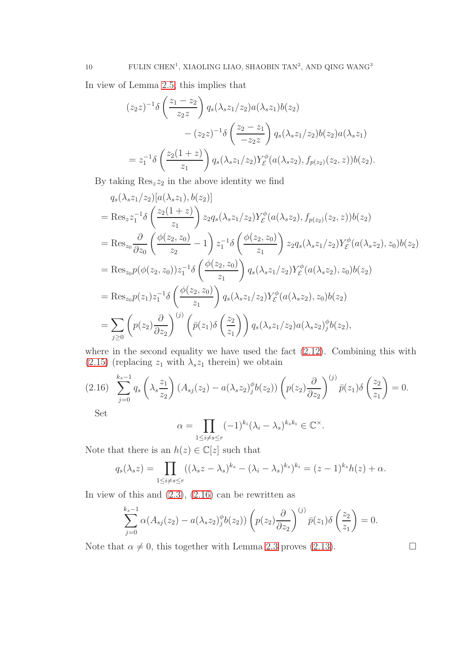In view of Lemma [2.5,](#page-7-1) this implies that

$$
(z_2 z)^{-1} \delta\left(\frac{z_1 - z_2}{z_2 z}\right) q_s(\lambda_s z_1/z_2) a(\lambda_s z_1) b(z_2)
$$
  

$$
- (z_2 z)^{-1} \delta\left(\frac{z_2 - z_1}{-z_2 z}\right) q_s(\lambda_s z_1/z_2) b(z_2) a(\lambda_s z_1)
$$
  

$$
= z_1^{-1} \delta\left(\frac{z_2(1 + z)}{z_1}\right) q_s(\lambda_s z_1/z_2) Y_{\mathcal{E}}^{\phi}(a(\lambda_s z_2), f_{p(z_2)}(z_2, z)) b(z_2).
$$

By taking  $\text{Res}_z z_2$  in the above identity we find

$$
q_s(\lambda_s z_1/z_2)[a(\lambda_s z_1), b(z_2)]
$$
  
= Res<sub>z</sub>z<sub>1</sub><sup>-1</sup>δ  $\left(\frac{z_2(1+z)}{z_1}\right) z_2 q_s(\lambda_s z_1/z_2) Y_{\mathcal{E}}^{\phi}(a(\lambda_s z_2), f_{p(z_2)}(z_2, z)) b(z_2)$   
= Res<sub>z<sub>0</sub></sub>  $\frac{\partial}{\partial z_0} \left(\frac{\phi(z_2, z_0)}{z_2} - 1\right) z_1^{-1} \delta \left(\frac{\phi(z_2, z_0)}{z_1}\right) z_2 q_s(\lambda_s z_1/z_2) Y_{\mathcal{E}}^{\phi}(a(\lambda_s z_2), z_0) b(z_2)$   
= Res<sub>z<sub>0</sub></sub>p $(\phi(z_2, z_0)) z_1^{-1} \delta \left(\frac{\phi(z_2, z_0)}{z_1}\right) q_s(\lambda_s z_1/z_2) Y_{\mathcal{E}}^{\phi}(a(\lambda_s z_2), z_0) b(z_2)$   
= Res<sub>z<sub>0</sub></sub>p $(z_1) z_1^{-1} \delta \left(\frac{\phi(z_2, z_0)}{z_1}\right) q_s(\lambda_s z_1/z_2) Y_{\mathcal{E}}^{\phi}(a(\lambda_s z_2), z_0) b(z_2)$   
= 
$$
\sum_{j\geq 0} \left(p(z_2) \frac{\partial}{\partial z_2}\right)^{(j)} \left(\bar{p}(z_1) \delta \left(\frac{z_2}{z_1}\right)\right) q_s(\lambda_s z_1/z_2) a(\lambda_s z_2) \frac{\phi}{\phi}(b(z_2), z_2)
$$

where in the second equality we have used the fact [\(2.12\)](#page-7-0). Combining this with [\(2.15\)](#page-8-1) (replacing  $z_1$  with  $\lambda_s z_1$  therein) we obtain

<span id="page-9-0"></span>
$$
(2.16)\sum_{j=0}^{k_s-1} q_s\left(\lambda_s \frac{z_1}{z_2}\right) \left(A_{sj}(z_2) - a(\lambda_s z_2)_j^{\phi} b(z_2)\right) \left(p(z_2) \frac{\partial}{\partial z_2}\right)^{(j)} \bar{p}(z_1) \delta\left(\frac{z_2}{z_1}\right) = 0.
$$

Set

$$
\alpha = \prod_{1 \le i \neq s \le r} (-1)^{k_i} (\lambda_i - \lambda_s)^{k_s k_i} \in \mathbb{C}^{\times}.
$$

Note that there is an  $h(z) \in \mathbb{C}[z]$  such that

$$
q_s(\lambda_s z) = \prod_{1 \leq i \neq s \leq r} ((\lambda_s z - \lambda_s)^{k_s} - (\lambda_i - \lambda_s)^{k_s})^{k_i} = (z - 1)^{k_s} h(z) + \alpha.
$$

In view of this and  $(2.3)$ ,  $(2.16)$  can be rewritten as

$$
\sum_{j=0}^{k_s-1} \alpha(A_{sj}(z_2) - a(\lambda_s z_2)_j^{\phi} b(z_2)) \left( p(z_2) \frac{\partial}{\partial z_2} \right)^{(j)} \bar{p}(z_1) \delta\left(\frac{z_2}{z_1}\right) = 0.
$$

Note that  $\alpha \neq 0$ , this together with Lemma [2.3](#page-5-4) proves [\(2.13\)](#page-8-2).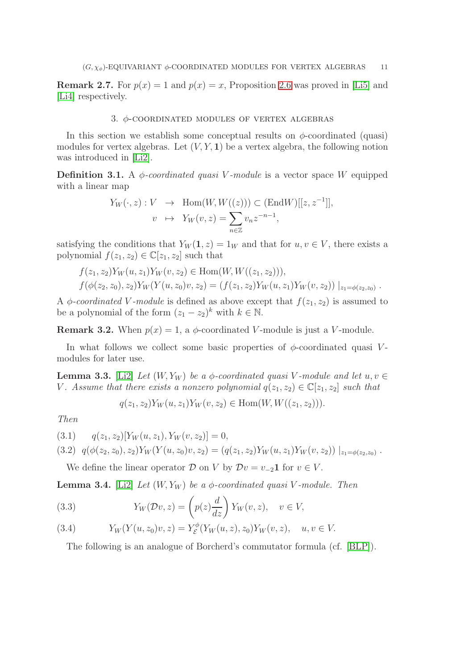**Remark 2.7.** For  $p(x) = 1$  and  $p(x) = x$ , Proposition [2.6](#page-8-3) was proved in [\[Li5\]](#page-30-3) and [\[Li4\]](#page-30-5) respectively.

#### 3. φ-coordinated modules of vertex algebras

In this section we establish some conceptual results on  $\phi$ -coordinated (quasi) modules for vertex algebras. Let  $(V, Y, 1)$  be a vertex algebra, the following notion was introduced in [\[Li2\]](#page-30-4).

**Definition 3.1.** A  $\phi$ -coordinated quasi V-module is a vector space W equipped with a linear map

$$
Y_W(\cdot, z) : V \to \text{Hom}(W, W((z))) \subset (\text{End}W)[[z, z^{-1}]],
$$
  

$$
v \mapsto Y_W(v, z) = \sum_{n \in \mathbb{Z}} v_n z^{-n-1},
$$

satisfying the conditions that  $Y_W(1, z) = 1_W$  and that for  $u, v \in V$ , there exists a polynomial  $f(z_1, z_2) \in \mathbb{C}[z_1, z_2]$  such that

$$
f(z_1, z_2)Y_W(u, z_1)Y_W(v, z_2) \in \text{Hom}(W, W((z_1, z_2))),
$$
  

$$
f(\phi(z_2, z_0), z_2)Y_W(Y(u, z_0)v, z_2) = (f(z_1, z_2)Y_W(u, z_1)Y_W(v, z_2))|_{z_1 = \phi(z_2, z_0)}.
$$

A  $\phi$ -coordinated V-module is defined as above except that  $f(z_1, z_2)$  is assumed to be a polynomial of the form  $(z_1 - z_2)^k$  with  $k \in \mathbb{N}$ .

**Remark 3.2.** When  $p(x) = 1$ , a  $\phi$ -coordinated V-module is just a V-module.

In what follows we collect some basic properties of  $\phi$ -coordinated quasi Vmodules for later use.

**Lemma 3.3.** [\[Li2\]](#page-30-4) Let  $(W, Y_W)$  be a  $\phi$ -coordinated quasi V-module and let  $u, v \in$ V. Assume that there exists a nonzero polynomial  $q(z_1, z_2) \in \mathbb{C}[z_1, z_2]$  such that

$$
q(z_1, z_2)Y_W(u, z_1)Y_W(v, z_2) \in \text{Hom}(W, W((z_1, z_2))).
$$

Then

<span id="page-10-0"></span>(3.1)  $q(z_1, z_2)[Y_W(u, z_1), Y_W(v, z_2)] = 0,$ 

$$
(3.2) \quad q(\phi(z_2, z_0), z_2) Y_W(Y(u, z_0)v, z_2) = (q(z_1, z_2) Y_W(u, z_1) Y_W(v, z_2)) |_{z_1 = \phi(z_2, z_0)}.
$$

We define the linear operator  $\mathcal D$  on V by  $\mathcal D v = v_{-2}$  for  $v \in V$ .

**Lemma 3.4.** [\[Li2\]](#page-30-4) Let  $(W, Y_W)$  be a  $\phi$ -coordinated quasi V-module. Then

<span id="page-10-2"></span>(3.3) 
$$
Y_W(\mathcal{D}v, z) = \left(p(z)\frac{d}{dz}\right)Y_W(v, z), \quad v \in V,
$$

<span id="page-10-1"></span>(3.4) 
$$
Y_W(Y(u, z_0)v, z) = Y_{\mathcal{E}}^{\phi}(Y_W(u, z), z_0)Y_W(v, z), \quad u, v \in V.
$$

The following is an analogue of Borcherd's commutator formula (cf. [\[BLP\]](#page-29-2)).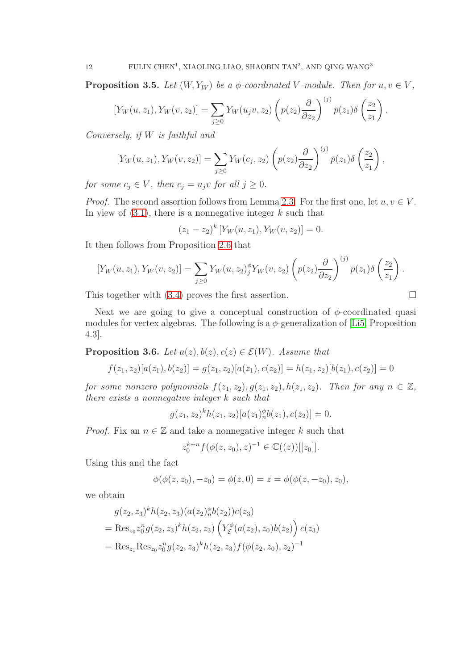<span id="page-11-1"></span>**Proposition 3.5.** Let  $(W, Y_W)$  be a  $\phi$ -coordinated V-module. Then for  $u, v \in V$ ,

$$
[Y_W(u, z_1), Y_W(v, z_2)] = \sum_{j \ge 0} Y_W(u_j v, z_2) \left( p(z_2) \frac{\partial}{\partial z_2} \right)^{(j)} \bar{p}(z_1) \delta \left( \frac{z_2}{z_1} \right)
$$

.

 $\sqrt{)}$ 

Conversely, if W is faithful and

$$
[Y_W(u,z_1), Y_W(v,z_2)] = \sum_{j\geq 0} Y_W(c_j,z_2) \left(p(z_2) \frac{\partial}{\partial z_2}\right)^{(j)} \bar{p}(z_1) \delta\left(\frac{z_2}{z_1}\right),
$$

for some  $c_j \in V$ , then  $c_j = u_j v$  for all  $j \geq 0$ .

*Proof.* The second assertion follows from Lemma [2.3.](#page-5-4) For the first one, let  $u, v \in V$ . In view of  $(3.1)$ , there is a nonnegative integer k such that

$$
(z_1 - z_2)^k \left[ Y_W(u, z_1), Y_W(v, z_2) \right] = 0.
$$

It then follows from Proposition [2.6](#page-8-3) that

$$
[Y_W(u,z_1), Y_W(v,z_2)] = \sum_{j\geq 0} Y_W(u,z_2)_{j}^{\phi} Y_W(v,z_2) \left( p(z_2) \frac{\partial}{\partial z_2} \right)^{(j)} \bar{p}(z_1) \delta \left( \frac{z_2}{z_1} \right).
$$

This together with  $(3.4)$  proves the first assertion.

Next we are going to give a conceptual construction of  $\phi$ -coordinated quasi modules for vertex algebras. The following is a  $\phi$ -generalization of [\[Li5,](#page-30-3) Proposition 4.3].

<span id="page-11-0"></span>**Proposition 3.6.** Let  $a(z)$ ,  $b(z)$ ,  $c(z) \in \mathcal{E}(W)$ . Assume that

$$
f(z_1, z_2)[a(z_1), b(z_2)] = g(z_1, z_2)[a(z_1), c(z_2)] = h(z_1, z_2)[b(z_1), c(z_2)] = 0
$$

for some nonzero polynomials  $f(z_1, z_2), g(z_1, z_2), h(z_1, z_2)$ . Then for any  $n \in \mathbb{Z}$ , there exists a nonnegative integer k such that

$$
g(z_1, z_2)^k h(z_1, z_2) [a(z_1)_n^{\phi} b(z_1), c(z_2)] = 0.
$$

*Proof.* Fix an  $n \in \mathbb{Z}$  and take a nonnegative integer k such that

$$
z_0^{k+n} f(\phi(z, z_0), z)^{-1} \in \mathbb{C}((z))[[z_0]].
$$

Using this and the fact

$$
\phi(\phi(z, z_0), -z_0) = \phi(z, 0) = z = \phi(\phi(z, -z_0), z_0),
$$

we obtain

$$
g(z_2, z_3)^k h(z_2, z_3) (a(z_2)_n^{\phi} b(z_2)) c(z_3)
$$
  
= Res<sub>z\_0</sub>  $z_0^n g(z_2, z_3)^k h(z_2, z_3) \left( Y_{\mathcal{E}}^{\phi} (a(z_2), z_0) b(z_2) \right) c(z_3)$   
= Res<sub>z\_1</sub> Res<sub>z\_0</sub>  $z_0^n g(z_2, z_3)^k h(z_2, z_3) f(\phi(z_2, z_0), z_2)^{-1}$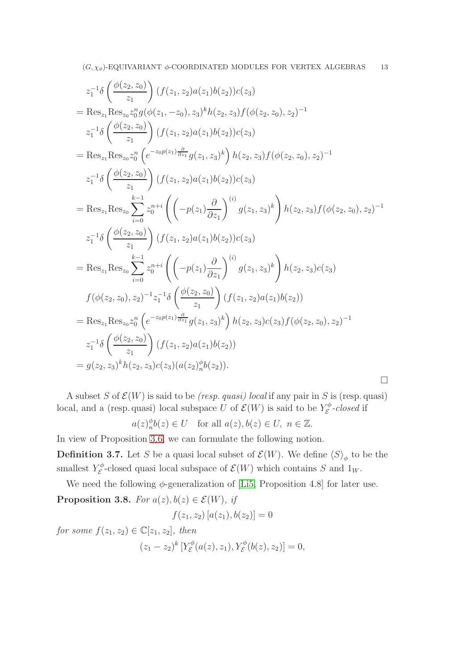$$
z_{1}^{-1}\delta\left(\frac{\phi(z_{2},z_{0})}{z_{1}}\right)(f(z_{1},z_{2})a(z_{1})b(z_{2}))c(z_{3})
$$
\n
$$
= Res_{z_{1}}Res_{z_{0}}z_{0}^{n}g(\phi(z_{1},-z_{0}),z_{3})^{k}h(z_{2},z_{3})f(\phi(z_{2},z_{0}),z_{2})^{-1}
$$
\n
$$
z_{1}^{-1}\delta\left(\frac{\phi(z_{2},z_{0})}{z_{1}}\right)(f(z_{1},z_{2})a(z_{1})b(z_{2}))c(z_{3})
$$
\n
$$
= Res_{z_{1}}Res_{z_{0}}z_{0}^{n}\left(e^{-z_{0}p(z_{1})\frac{\partial}{\partial z_{1}}}g(z_{1},z_{3})^{k}\right)h(z_{2},z_{3})f(\phi(z_{2},z_{0}),z_{2})^{-1}
$$
\n
$$
z_{1}^{-1}\delta\left(\frac{\phi(z_{2},z_{0})}{z_{1}}\right)(f(z_{1},z_{2})a(z_{1})b(z_{2}))c(z_{3})
$$
\n
$$
= Res_{z_{1}}Res_{z_{0}}\sum_{i=0}^{k-1}z_{0}^{n+i}\left(\left(-p(z_{1})\frac{\partial}{\partial z_{1}}\right)^{(i)}g(z_{1},z_{3})^{k}\right)h(z_{2},z_{3})f(\phi(z_{2},z_{0}),z_{2})^{-1}
$$
\n
$$
z_{1}^{-1}\delta\left(\frac{\phi(z_{2},z_{0})}{z_{1}}\right)(f(z_{1},z_{2})a(z_{1})b(z_{2}))c(z_{3})
$$
\n
$$
= Res_{z_{1}}Res_{z_{0}}\sum_{i=0}^{k-1}z_{0}^{n+i}\left(\left(-p(z_{1})\frac{\partial}{\partial z_{1}}\right)^{(i)}g(z_{1},z_{3})^{k}\right)h(z_{2},z_{3})c(z_{3})
$$
\n
$$
f(\phi(z_{2},z_{0}),z_{2})^{-1}z_{1}^{-1}\delta\left(\frac{\phi(z_{2},z_{0})}{z_{1}}\right)(f(z_{1},z_{2})a(z_{1})b(z_{2}))
$$
\n
$$
= Res_{z_{1}}Res_{z_{0}}z_{0}^{n}\left(e^{-z_{0}p(z_{1})\frac{\partial}{\partial z_{1}}}g(z_{1},z_{3})
$$

A subset S of  $\mathcal{E}(W)$  is said to be *(resp. quasi) local* if any pair in S is (resp. quasi) local, and a (resp. quasi) local subspace U of  $\mathcal{E}(W)$  is said to be  $Y_{\mathcal{E}}^{\phi}$  $\mathcal{E}^{\varphi}\text{-closed if}$ 

$$
a(z)_n^{\phi}b(z) \in U
$$
 for all  $a(z), b(z) \in U$ ,  $n \in \mathbb{Z}$ .

In view of Proposition [3.6,](#page-11-0) we can formulate the following notion.

**Definition 3.7.** Let S be a quasi local subset of  $\mathcal{E}(W)$ . We define  $\langle S \rangle_{\phi}$  to be the smallest  $Y_{\mathcal{E}}^{\phi}$  $\mathcal{E}^{\varphi}$ -closed quasi local subspace of  $\mathcal{E}(W)$  which contains S and  $1_W$ .

<span id="page-12-0"></span>We need the following  $\phi$ -generalization of [\[Li5,](#page-30-3) Proposition 4.8] for later use. **Proposition 3.8.** For  $a(z)$ ,  $b(z) \in \mathcal{E}(W)$ , if

$$
f(z_1, z_2) [a(z_1), b(z_2)] = 0
$$

for some  $f(z_1, z_2) \in \mathbb{C}[z_1, z_2]$ , then  $(z_1-z_2)^k$  [Ye<sup> $\phi$ </sup>  $\mathcal{E}_{\mathcal{E}}^{\phi}(a(z), z_1), Y_{\mathcal{E}}^{\phi}(b(z), z_2)] = 0,$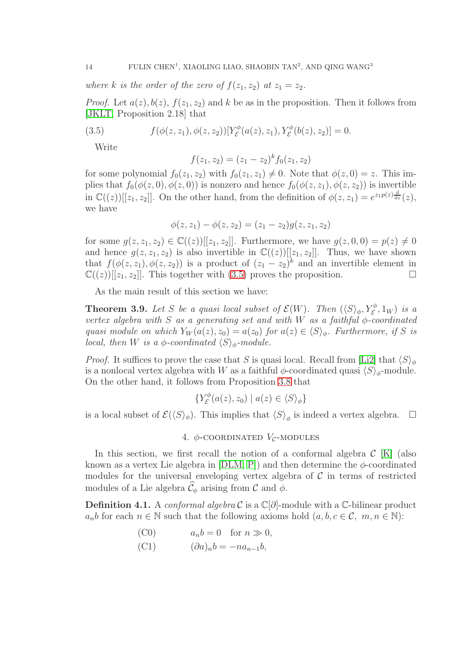where k is the order of the zero of  $f(z_1, z_2)$  at  $z_1 = z_2$ .

*Proof.* Let  $a(z)$ ,  $b(z)$ ,  $f(z_1, z_2)$  and k be as in the proposition. Then it follows from [\[JKLT,](#page-30-0) Proposition 2.18] that

<span id="page-13-0"></span>(3.5) 
$$
f(\phi(z, z_1), \phi(z, z_2))[Y_{\mathcal{E}}^{\phi}(a(z), z_1), Y_{\mathcal{E}}^{\phi}(b(z), z_2)] = 0.
$$

Write

$$
f(z_1, z_2) = (z_1 - z_2)^k f_0(z_1, z_2)
$$

for some polynomial  $f_0(z_1, z_2)$  with  $f_0(z_1, z_1) \neq 0$ . Note that  $\phi(z, 0) = z$ . This implies that  $f_0(\phi(z, 0), \phi(z, 0))$  is nonzero and hence  $f_0(\phi(z, z_1), \phi(z, z_2))$  is invertible in  $\mathbb{C}((z))[[z_1, z_2]]$ . On the other hand, from the definition of  $\phi(z, z_1) = e^{z_1 p(z)} \frac{d}{dz}(z)$ , we have

$$
\phi(z, z_1) - \phi(z, z_2) = (z_1 - z_2)g(z, z_1, z_2)
$$

for some  $g(z, z_1, z_2) \in \mathbb{C}((z))[[z_1, z_2]]$ . Furthermore, we have  $g(z, 0, 0) = p(z) \neq 0$ and hence  $g(z, z_1, z_2)$  is also invertible in  $\mathbb{C}((z))[[z_1, z_2]]$ . Thus, we have shown that  $f(\phi(z, z_1), \phi(z, z_2))$  is a product of  $(z_1 - z_2)^k$  and an invertible element in  $\mathbb{C}((z))[[z_1, z_2]]$ . This together with [\(3.5\)](#page-13-0) proves the proposition.

As the main result of this section we have:

<span id="page-13-1"></span>**Theorem 3.9.** Let S be a quasi local subset of  $\mathcal{E}(W)$ . Then  $(\langle S \rangle_{\phi}, Y_{\mathcal{E}}^{\phi}, 1_W)$  is a vertex algebra with S as a generating set and with W as a faithful  $\phi$ -coordinated quasi module on which  $Y_W(a(z), z_0) = a(z_0)$  for  $a(z) \in \langle S \rangle_{\phi}$ . Furthermore, if S is local, then W is a  $\phi$ -coordinated  $\langle S \rangle_{\phi}$ -module.

*Proof.* It suffices to prove the case that S is quasi local. Recall from [\[Li2\]](#page-30-4) that  $\langle S \rangle_{\phi}$ is a nonlocal vertex algebra with W as a faithful  $\phi$ -coordinated quasi  $\langle S \rangle_{\phi}$ -module. On the other hand, it follows from Proposition [3.8](#page-12-0) that

$$
\{Y_{\mathcal{E}}^{\phi}(a(z),z_0) \mid a(z) \in \langle S \rangle_{\phi}\}
$$

is a local subset of  $\mathcal{E}(\langle S \rangle_{\phi})$ . This implies that  $\langle S \rangle_{\phi}$  is indeed a vertex algebra.  $\Box$ 

### 4.  $\phi$ -COORDINATED  $V_c$ -MODULES

In this section, we first recall the notion of a conformal algebra  $\mathcal{C}$  [\[K\]](#page-30-6) (also known as a vertex Lie algebra in  $[DLM, P]$  $[DLM, P]$  and then determine the  $\phi$ -coordinated modules for the universal enveloping vertex algebra of  $C$  in terms of restricted modules of a Lie algebra  $\hat{\mathcal{C}}_{\phi}$  arising from  $\mathcal C$  and  $\phi$ .

**Definition 4.1.** A conformal algebra C is a  $\mathbb{C}[\partial]$ -module with a  $\mathbb{C}$ -bilinear product  $a_n b$  for each  $n \in \mathbb{N}$  such that the following axioms hold  $(a, b, c \in \mathcal{C}, m, n \in \mathbb{N})$ :

- (C0)  $a_n b = 0$  for  $n \gg 0$ ,
- (C1)  $(\partial a)_n b = -n a_{n-1} b,$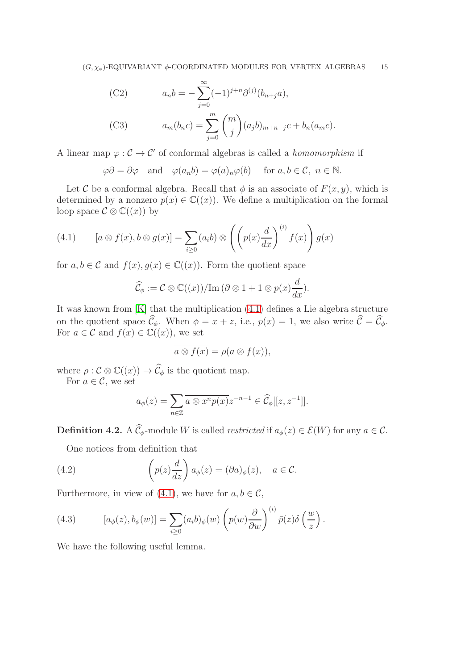(C2) 
$$
a_n b = -\sum_{j=0}^{\infty} (-1)^{j+n} \partial^{(j)}(b_{n+j}a),
$$
  
(C3) 
$$
a_m(b_n c) = \sum_{j=0}^m {m \choose j} (a_j b)_{m+n-j} c + b_n(a_m c).
$$

A linear map  $\varphi : \mathcal{C} \to \mathcal{C}'$  of conformal algebras is called a *homomorphism* if

 $\varphi \partial = \partial \varphi$  and  $\varphi(a_n b) = \varphi(a)_n \varphi(b)$  for  $a, b \in \mathcal{C}, n \in \mathbb{N}$ .

Let C be a conformal algebra. Recall that  $\phi$  is an associate of  $F(x, y)$ , which is determined by a nonzero  $p(x) \in \mathbb{C}((x))$ . We define a multiplication on the formal loop space  $\mathcal{C} \otimes \mathbb{C}((x))$  by

<span id="page-14-0"></span>(4.1) 
$$
[a \otimes f(x), b \otimes g(x)] = \sum_{i \ge 0} (a_i b) \otimes \left( \left( p(x) \frac{d}{dx} \right)^{(i)} f(x) \right) g(x)
$$

for  $a, b \in \mathcal{C}$  and  $f(x), g(x) \in \mathbb{C}((x))$ . Form the quotient space

$$
\widehat{\mathcal{C}}_{\phi} := \mathcal{C} \otimes \mathbb{C}((x)) / \mathrm{Im}(\partial \otimes 1 + 1 \otimes p(x) \frac{d}{dx}).
$$

It was known from [\[K\]](#page-30-6) that the multiplication [\(4.1\)](#page-14-0) defines a Lie algebra structure on the quotient space  $\widehat{\mathcal{C}}_{\phi}$ . When  $\phi = x + z$ , i.e.,  $p(x) = 1$ , we also write  $\widehat{\mathcal{C}} = \widehat{\mathcal{C}}_{\phi}$ . For  $a \in \mathcal{C}$  and  $f(x) \in \mathbb{C}((x))$ , we set

$$
\overline{a \otimes f(x)} = \rho(a \otimes f(x)),
$$

where  $\rho : \mathcal{C} \otimes \mathbb{C}((x)) \to \widehat{\mathcal{C}}_{\phi}$  is the quotient map.

For  $a \in \mathcal{C}$ , we set

$$
a_{\phi}(z) = \sum_{n \in \mathbb{Z}} \overline{a \otimes x^n p(x)} z^{-n-1} \in \widehat{\mathcal{C}}_{\phi}[[z, z^{-1}]].
$$

**Definition 4.2.** A  $\widehat{\mathcal{C}}_{\phi}$ -module W is called *restricted* if  $a_{\phi}(z) \in \mathcal{E}(W)$  for any  $a \in \mathcal{C}$ .

One notices from definition that

<span id="page-14-2"></span>(4.2) 
$$
\left(p(z)\frac{d}{dz}\right)a_{\phi}(z) = (\partial a)_{\phi}(z), \quad a \in \mathcal{C}.
$$

Furthermore, in view of [\(4.1\)](#page-14-0), we have for  $a, b \in \mathcal{C}$ ,

<span id="page-14-1"></span>(4.3) 
$$
[a_{\phi}(z), b_{\phi}(w)] = \sum_{i \geq 0} (a_i b)_{\phi}(w) \left( p(w) \frac{\partial}{\partial w} \right)^{(i)} \bar{p}(z) \delta \left( \frac{w}{z} \right).
$$

We have the following useful lemma.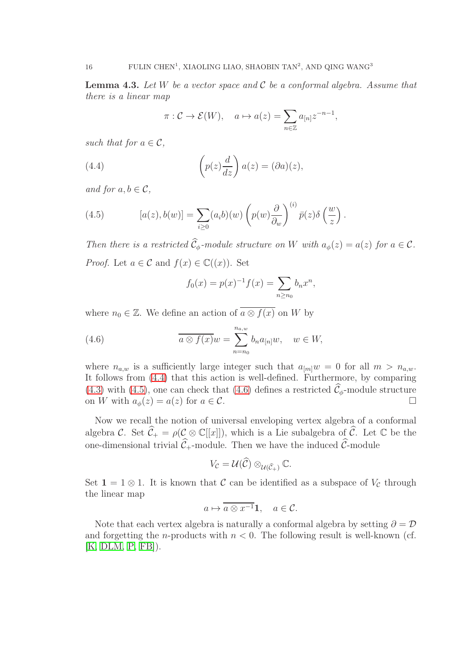<span id="page-15-3"></span>**Lemma 4.3.** Let W be a vector space and  $\mathcal C$  be a conformal algebra. Assume that there is a linear map

$$
\pi: \mathcal{C} \to \mathcal{E}(W), \quad a \mapsto a(z) = \sum_{n \in \mathbb{Z}} a_{[n]} z^{-n-1},
$$

such that for  $a \in \mathcal{C}$ ,

<span id="page-15-0"></span>(4.4) 
$$
\left(p(z)\frac{d}{dz}\right)a(z) = (\partial a)(z),
$$

and for  $a, b \in \mathcal{C}$ ,

<span id="page-15-1"></span>(4.5) 
$$
[a(z), b(w)] = \sum_{i \geq 0} (a_i b)(w) \left( p(w) \frac{\partial}{\partial w} \right)^{(i)} \bar{p}(z) \delta \left( \frac{w}{z} \right).
$$

Then there is a restricted  $\widehat{C}_{\phi}$ -module structure on W with  $a_{\phi}(z) = a(z)$  for  $a \in \mathcal{C}$ . *Proof.* Let  $a \in \mathcal{C}$  and  $f(x) \in \mathbb{C}((x))$ . Set

$$
f_0(x) = p(x)^{-1} f(x) = \sum_{n \ge n_0} b_n x^n,
$$

where  $n_0 \in \mathbb{Z}$ . We define an action of  $\overline{a \otimes f(x)}$  on W by

<span id="page-15-2"></span>(4.6) 
$$
\overline{a \otimes f(x)}w = \sum_{n=n_0}^{n_{a,w}} b_n a_{[n]}w, \quad w \in W,
$$

where  $n_{a,w}$  is a sufficiently large integer such that  $a_{m}w = 0$  for all  $m > n_{a,w}$ . It follows from [\(4.4\)](#page-15-0) that this action is well-defined. Furthermore, by comparing [\(4.3\)](#page-14-1) with [\(4.5\)](#page-15-1), one can check that [\(4.6\)](#page-15-2) defines a restricted  $\mathcal{C}_{\phi}$ -module structure<br>on W with  $a_{\phi}(z) = a(z)$  for  $a \in \mathcal{C}$ on W with  $a_{\phi}(z) = a(z)$  for  $a \in \mathcal{C}$ .

Now we recall the notion of universal enveloping vertex algebra of a conformal algebra C. Set  $\widehat{C}_+ = \rho(C \otimes \mathbb{C}[[x]])$ , which is a Lie subalgebra of  $\widehat{C}$ . Let C be the one-dimensional trivial  $\widehat{\mathcal{C}}_+$ -module. Then we have the induced  $\widehat{\mathcal{C}}$ -module

$$
V_{\mathcal{C}}=\mathcal{U}(\widehat{\mathcal{C}})\otimes_{\mathcal{U}(\widehat{\mathcal{C}}_+)}\mathbb{C}.
$$

Set  $1 = 1 \otimes 1$ . It is known that C can be identified as a subspace of  $V_c$  through the linear map

$$
a \mapsto \overline{a \otimes x^{-1}} \mathbf{1}, \quad a \in \mathcal{C}.
$$

Note that each vertex algebra is naturally a conformal algebra by setting  $\partial = \mathcal{D}$ and forgetting the *n*-products with  $n < 0$ . The following result is well-known (cf.  $[K, DLM, P, FB]$  $[K, DLM, P, FB]$  $[K, DLM, P, FB]$  $[K, DLM, P, FB]$ .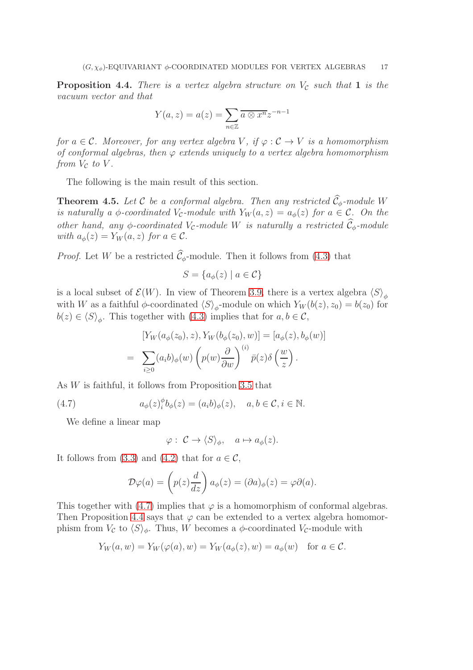<span id="page-16-1"></span>**Proposition 4.4.** There is a vertex algebra structure on  $V_c$  such that 1 is the vacuum vector and that

$$
Y(a, z) = a(z) = \sum_{n \in \mathbb{Z}} \overline{a \otimes x^n} z^{-n-1}
$$

for  $a \in \mathcal{C}$ . Moreover, for any vertex algebra V, if  $\varphi : \mathcal{C} \to V$  is a homomorphism of conformal algebras, then  $\varphi$  extends uniquely to a vertex algebra homomorphism from  $V_c$  to  $V$ .

The following is the main result of this section.

<span id="page-16-2"></span>**Theorem 4.5.** Let C be a conformal algebra. Then any restricted  $\widehat{C}_{\phi}$ -module W is naturally a  $\phi$ -coordinated V<sub>C</sub>-module with  $Y_W(a, z) = a_{\phi}(z)$  for  $a \in \mathcal{C}$ . On the other hand, any φ-coordinated  $V_c$ -module W is naturally a restricted  $\tilde{C}_{\phi}$ -module with  $a_{\phi}(z) = Y_W(a, z)$  for  $a \in \mathcal{C}$ .

*Proof.* Let W be a restricted  $\hat{\mathcal{C}}_{\phi}$ -module. Then it follows from [\(4.3\)](#page-14-1) that

$$
S = \{ a_{\phi}(z) \mid a \in \mathcal{C} \}
$$

is a local subset of  $\mathcal{E}(W)$ . In view of Theorem [3.9,](#page-13-1) there is a vertex algebra  $\langle S \rangle_{\phi}$ with W as a faithful  $\phi$ -coordinated  $\langle S \rangle_{\phi}$ -module on which  $Y_W(b(z), z_0) = b(z_0)$  for  $b(z) \in \langle S \rangle_{\phi}$ . This together with [\(4.3\)](#page-14-1) implies that for  $a, b \in \mathcal{C}$ ,

$$
[Y_W(a_{\phi}(z_0), z), Y_W(b_{\phi}(z_0), w)] = [a_{\phi}(z), b_{\phi}(w)]
$$
  
= 
$$
\sum_{i \geq 0} (a_i b)_{\phi}(w) \left( p(w) \frac{\partial}{\partial w} \right)^{(i)} \overline{p}(z) \delta \left( \frac{w}{z} \right).
$$

As W is faithful, it follows from Proposition [3.5](#page-11-1) that

<span id="page-16-0"></span>(4.7) 
$$
a_{\phi}(z)^{\phi}_{i}b_{\phi}(z) = (a_{i}b)_{\phi}(z), \quad a, b \in \mathcal{C}, i \in \mathbb{N}.
$$

We define a linear map

 $\varphi: \mathcal{C} \to \langle S \rangle_{\phi}, \quad a \mapsto a_{\phi}(z).$ 

It follows from [\(3.3\)](#page-10-2) and [\(4.2\)](#page-14-2) that for  $a \in \mathcal{C}$ ,

$$
\mathcal{D}\varphi(a) = \left(p(z)\frac{d}{dz}\right)a_{\phi}(z) = (\partial a)_{\phi}(z) = \varphi\partial(a).
$$

This together with [\(4.7\)](#page-16-0) implies that  $\varphi$  is a homomorphism of conformal algebras. Then Proposition [4.4](#page-16-1) says that  $\varphi$  can be extended to a vertex algebra homomorphism from  $V_c$  to  $\langle S \rangle_{\phi}$ . Thus, W becomes a  $\phi$ -coordinated  $V_c$ -module with

$$
Y_W(a, w) = Y_W(\varphi(a), w) = Y_W(a_{\phi}(z), w) = a_{\phi}(w) \text{ for } a \in \mathcal{C}.
$$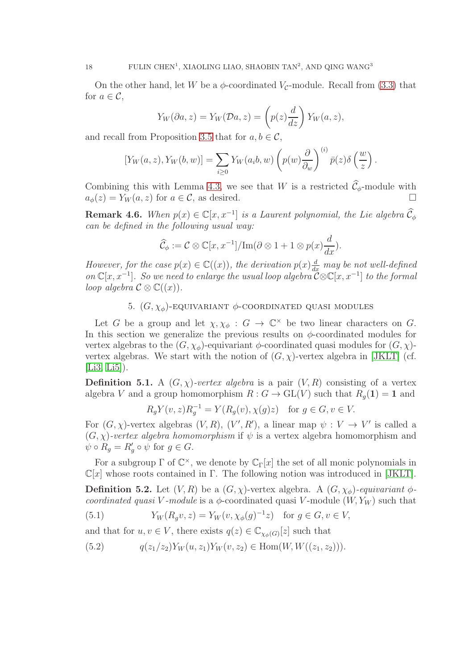On the other hand, let W be a  $\phi$ -coordinated  $V_c$ -module. Recall from [\(3.3\)](#page-10-2) that for  $a \in \mathcal{C}$ ,

$$
Y_W(\partial a, z) = Y_W(\mathcal{D}a, z) = \left(p(z)\frac{d}{dz}\right)Y_W(a, z),
$$

and recall from Proposition [3.5](#page-11-1) that for  $a, b \in \mathcal{C}$ ,

$$
[Y_W(a,z), Y_W(b,w)] = \sum_{i \geq 0} Y_W(a_i b, w) \left( p(w) \frac{\partial}{\partial w} \right)^{(i)} \overline{p}(z) \delta \left( \frac{w}{z} \right).
$$

Combining this with Lemma [4.3,](#page-15-3) we see that W is a restricted  $\hat{C}_{\phi}$ -module with  $a_{\phi}(z) = Y_{W}(a, z)$  for  $a \in \mathcal{C}$ , as desired.  $a_{\phi}(z) = Y_W(a, z)$  for  $a \in \mathcal{C}$ , as desired.

**Remark 4.6.** When  $p(x) \in \mathbb{C}[x, x^{-1}]$  is a Laurent polynomial, the Lie algebra  $\widehat{C}_{\phi}$ can be defined in the following usual way:

$$
\widehat{\mathcal{C}}_{\phi} := \mathcal{C} \otimes \mathbb{C}[x, x^{-1}] / \mathrm{Im}(\partial \otimes 1 + 1 \otimes p(x) \frac{d}{dx}).
$$

However, for the case  $p(x) \in \mathbb{C}((x))$ , the derivation  $p(x) \frac{d}{dx}$  may be not well-defined on  $\mathbb{C}[x, x^{-1}]$ . So we need to enlarge the usual loop algebra  $\mathcal{C} \otimes \mathbb{C}[x, x^{-1}]$  to the formal loop algebra  $\mathcal{C} \otimes \mathbb{C}((x))$ .

### 5.  $(G, \chi_{\phi})$ -EQUIVARIANT  $\phi$ -COORDINATED QUASI MODULES

Let G be a group and let  $\chi, \chi_{\phi} : G \to \mathbb{C}^{\times}$  be two linear characters on G. In this section we generalize the previous results on  $\phi$ -coordinated modules for vertex algebras to the  $(G, \chi_{\phi})$ -equivariant  $\phi$ -coordinated quasi modules for  $(G, \chi)$ vertex algebras. We start with the notion of  $(G, \chi)$ -vertex algebra in [\[JKLT\]](#page-30-0) (cf.  $[Li3, Li5]$  $[Li3, Li5]$ .

**Definition 5.1.** A  $(G, \chi)$ -vertex algebra is a pair  $(V, R)$  consisting of a vertex algebra V and a group homomorphism  $R: G \to GL(V)$  such that  $R_g(1) = 1$  and

$$
R_g Y(v, z) R_g^{-1} = Y(R_g(v), \chi(g)z) \quad \text{for } g \in G, v \in V.
$$

For  $(G, \chi)$ -vertex algebras  $(V, R)$ ,  $(V', R')$ , a linear map  $\psi : V \to V'$  is called a  $(G, \chi)$ -vertex algebra homomorphism if  $\psi$  is a vertex algebra homomorphism and  $\psi \circ R_g = R'_g \circ \psi$  for  $g \in G$ .

For a subgroup  $\Gamma$  of  $\mathbb{C}^{\times}$ , we denote by  $\mathbb{C}_{\Gamma}[x]$  the set of all monic polynomials in  $\mathbb{C}[x]$  whose roots contained in Γ. The following notion was introduced in [\[JKLT\]](#page-30-0).

**Definition 5.2.** Let  $(V, R)$  be a  $(G, \chi)$ -vertex algebra. A  $(G, \chi_{\phi})$ -equivariant  $\phi$ coordinated quasi V-module is a  $\phi$ -coordinated quasi V-module  $(W, Y_W)$  such that

<span id="page-17-1"></span>(5.1) 
$$
Y_W(R_g v, z) = Y_W(v, \chi_{\phi}(g)^{-1} z) \text{ for } g \in G, v \in V,
$$

and that for  $u, v \in V$ , there exists  $q(z) \in \mathbb{C}_{\chi_{\phi}(G)}[z]$  such that

<span id="page-17-0"></span>
$$
(5.2) \tqquad q(z_1/z_2)Y_W(u, z_1)Y_W(v, z_2) \in \text{Hom}(W, W((z_1, z_2))).
$$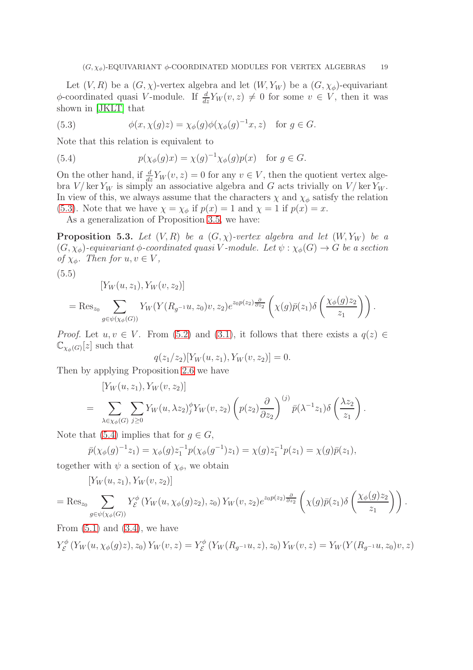Let  $(V, R)$  be a  $(G, \chi)$ -vertex algebra and let  $(W, Y_W)$  be a  $(G, \chi_{\phi})$ -equivariant  $\phi$ -coordinated quasi V-module. If  $\frac{d}{dz}Y_W(v, z) \neq 0$  for some  $v \in V$ , then it was shown in [\[JKLT\]](#page-30-0) that

<span id="page-18-0"></span>(5.3) 
$$
\phi(x, \chi(g)z) = \chi_{\phi}(g)\phi(\chi_{\phi}(g)^{-1}x, z) \text{ for } g \in G.
$$

Note that this relation is equivalent to

<span id="page-18-1"></span>(5.4) 
$$
p(\chi_{\phi}(g)x) = \chi(g)^{-1}\chi_{\phi}(g)p(x) \text{ for } g \in G.
$$

On the other hand, if  $\frac{d}{dz}Y_W(v, z) = 0$  for any  $v \in V$ , then the quotient vertex algebra  $V/\ker Y_W$  is simply an associative algebra and G acts trivially on  $V/\ker Y_W$ . In view of this, we always assume that the characters  $\chi$  and  $\chi_{\phi}$  satisfy the relation [\(5.3\)](#page-18-0). Note that we have  $\chi = \chi_{\phi}$  if  $p(x) = 1$  and  $\chi = 1$  if  $p(x) = x$ .

As a generalization of Proposition [3.5,](#page-11-1) we have:

<span id="page-18-3"></span>**Proposition 5.3.** Let  $(V, R)$  be a  $(G, \chi)$ -vertex algebra and let  $(W, Y_W)$  be a  $(G, \chi_{\phi})$ -equivariant  $\phi$ -coordinated quasi V-module. Let  $\psi : \chi_{\phi}(G) \to G$  be a section of  $\chi_{\phi}$ . Then for  $u, v \in V$ ,

$$
(5.5)
$$

 $[Y_{W}(u, z_{1}), Y_{W}(v, z_{2})]$ 

<span id="page-18-2"></span>
$$
= \operatorname{Res}_{z_0} \sum_{g \in \psi(\chi_{\phi}(G))} Y_W(Y(R_{g^{-1}}u, z_0)v, z_2) e^{z_0 p(z_2) \frac{\partial}{\partial z_2}} \left(\chi(g) \bar{p}(z_1) \delta\left(\frac{\chi_{\phi}(g) z_2}{z_1}\right)\right).
$$

*Proof.* Let  $u, v \in V$ . From [\(5.2\)](#page-17-0) and [\(3.1\)](#page-10-0), it follows that there exists a  $q(z) \in$  $\mathbb{C}_{\chi_{\phi}(G)}[z]$  such that

$$
q(z_1/z_2)[Y_W(u, z_1), Y_W(v, z_2)] = 0.
$$

Then by applying Proposition [2.6](#page-8-3) we have

$$
[Y_W(u, z_1), Y_W(v, z_2)]
$$
  
= 
$$
\sum_{\lambda \in \chi_{\phi}(G)} \sum_{j \ge 0} Y_W(u, \lambda z_2)_{j}^{\phi} Y_W(v, z_2) \left( p(z_2) \frac{\partial}{\partial z_2} \right)^{(j)} \bar{p}(\lambda^{-1} z_1) \delta \left( \frac{\lambda z_2}{z_1} \right).
$$

Note that [\(5.4\)](#page-18-1) implies that for  $g \in G$ ,

$$
\bar{p}(\chi_{\phi}(g)^{-1}z_1) = \chi_{\phi}(g)z_1^{-1}p(\chi_{\phi}(g^{-1})z_1) = \chi(g)z_1^{-1}p(z_1) = \chi(g)\bar{p}(z_1),
$$

together with  $\psi$  a section of  $\chi_{\phi}$ , we obtain

$$
[Y_W(u,z_1), Y_W(v,z_2)]
$$

$$
= \operatorname{Res}_{z_0} \sum_{g \in \psi(\chi_{\phi}(G))} Y_{\mathcal{E}}^{\phi} \left( Y_W(u, \chi_{\phi}(g) z_2), z_0 \right) Y_W(v, z_2) e^{z_0 p(z_2) \frac{\partial}{\partial z_2}} \left( \chi(g) \bar{p}(z_1) \delta \left( \frac{\chi_{\phi}(g) z_2}{z_1} \right) \right).
$$

From  $(5.1)$  and  $(3.4)$ , we have

$$
Y_{\mathcal{E}}^{\phi}(Y_W(u, \chi_{\phi}(g)z), z_0) Y_W(v, z) = Y_{\mathcal{E}}^{\phi}(Y_W(R_{g^{-1}}u, z), z_0) Y_W(v, z) = Y_W(Y(R_{g^{-1}}u, z_0)v, z)
$$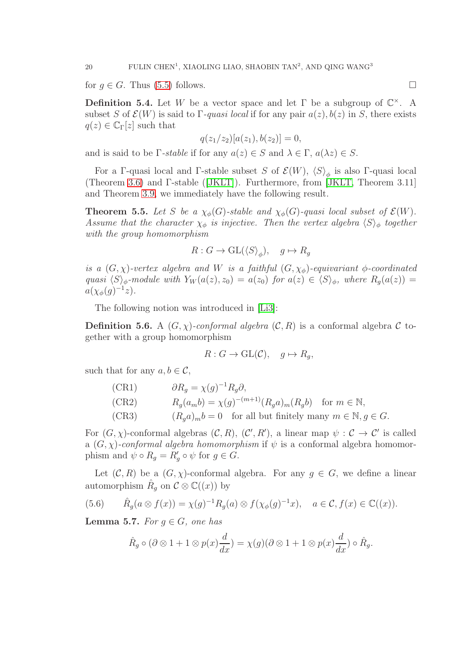for  $q \in G$ . Thus [\(5.5\)](#page-18-2) follows.

**Definition 5.4.** Let W be a vector space and let  $\Gamma$  be a subgroup of  $\mathbb{C}^{\times}$ . A subset S of  $\mathcal{E}(W)$  is said to Γ-quasi local if for any pair  $a(z)$ ,  $b(z)$  in S, there exists  $q(z) \in \mathbb{C}_{\Gamma}[z]$  such that

$$
q(z_1/z_2)[a(z_1), b(z_2)] = 0,
$$

and is said to be  $\Gamma$ -stable if for any  $a(z) \in S$  and  $\lambda \in \Gamma$ ,  $a(\lambda z) \in S$ .

For a Γ-quasi local and Γ-stable subset S of  $\mathcal{E}(W)$ ,  $\langle S \rangle_{\phi}$  is also Γ-quasi local (Theorem [3.6\)](#page-11-0) and Γ-stable([\[JKLT\]](#page-30-0)). Furthermore, from [\[JKLT,](#page-30-0) Theorem 3.11] and Theorem [3.9,](#page-13-1) we immediately have the following result.

<span id="page-19-1"></span>**Theorem 5.5.** Let S be a  $\chi_{\phi}(G)$ -stable and  $\chi_{\phi}(G)$ -quasi local subset of  $\mathcal{E}(W)$ . Assume that the character  $\chi_{\phi}$  is injective. Then the vertex algebra  $\langle S \rangle_{\phi}$  together with the group homomorphism

$$
R: G \to \operatorname{GL}(\langle S \rangle_{\phi}), \quad g \mapsto R_g
$$

is a  $(G, \chi)$ -vertex algebra and W is a faithful  $(G, \chi_{\phi})$ -equivariant  $\phi$ -coordinated quasi  $\langle S \rangle_{\phi}$ -module with  $Y_W (a(z), z_0) = a(z_0)$  for  $a(z) \in \langle S \rangle_{\phi}$ , where  $R_q(a(z)) =$  $a(\chi_{\phi}(g)^{-1}z).$ 

The following notion was introduced in [\[Li3\]](#page-30-8):

**Definition 5.6.** A  $(G, \chi)$ -conformal algebra  $(\mathcal{C}, R)$  is a conformal algebra  $\mathcal C$  together with a group homomorphism

$$
R: G \to \text{GL}(\mathcal{C}), \quad g \mapsto R_g,
$$

such that for any  $a, b \in \mathcal{C}$ ,

| (CR1) | $\partial R_q = \chi(g)^{-1} R_q \partial,$                                |
|-------|----------------------------------------------------------------------------|
| (CR2) | $R_q(a_m b) = \chi(g)^{-(m+1)} (R_q a)_m (R_q b)$ for $m \in \mathbb{N}$ , |
| (CR3) | $(R_a a)_m b = 0$ for all but finitely many $m \in \mathbb{N}, q \in G$ .  |

For  $(G, \chi)$ -conformal algebras  $(C, R)$ ,  $(C', R')$ , a linear map  $\psi : C \to C'$  is called a  $(G, \chi)$ -conformal algebra homomorphism if  $\psi$  is a conformal algebra homomorphism and  $\psi \circ R_g = R'_g \circ \psi$  for  $g \in G$ .

Let  $(C, R)$  be a  $(G, \chi)$ -conformal algebra. For any  $g \in G$ , we define a linear automorphism  $\hat{R}_g$  on  $\mathcal{C} \otimes \mathbb{C}((x))$  by

(5.6) 
$$
\hat{R}_g(a \otimes f(x)) = \chi(g)^{-1} R_g(a) \otimes f(\chi_{\phi}(g)^{-1}x), \quad a \in \mathcal{C}, f(x) \in \mathbb{C}((x)).
$$

<span id="page-19-0"></span>**Lemma 5.7.** For  $q \in G$ , one has

$$
\hat{R}_g \circ (\partial \otimes 1 + 1 \otimes p(x) \frac{d}{dx}) = \chi(g)(\partial \otimes 1 + 1 \otimes p(x) \frac{d}{dx}) \circ \hat{R}_g.
$$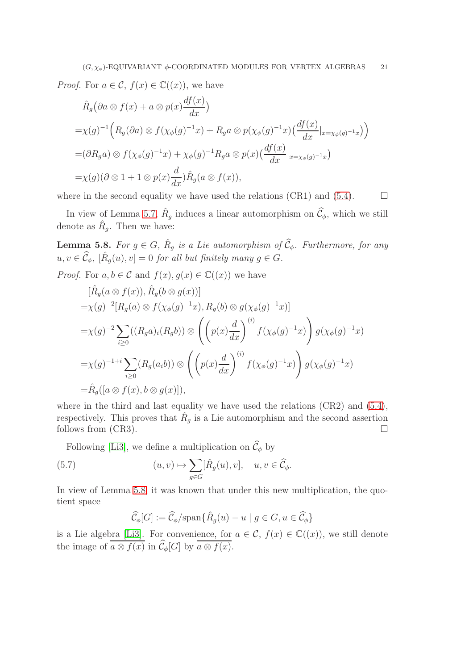*Proof.* For  $a \in \mathcal{C}$ ,  $f(x) \in \mathbb{C}((x))$ , we have

$$
\hat{R}_g(\partial a \otimes f(x) + a \otimes p(x) \frac{df(x)}{dx})
$$
\n
$$
= \chi(g)^{-1} \Big( R_g(\partial a) \otimes f(\chi_{\phi}(g)^{-1}x) + R_g a \otimes p(\chi_{\phi}(g)^{-1}x) \Big( \frac{df(x)}{dx}|_{x = \chi_{\phi}(g)^{-1}x} \Big) \Big)
$$
\n
$$
= (\partial R_g a) \otimes f(\chi_{\phi}(g)^{-1}x) + \chi_{\phi}(g)^{-1} R_g a \otimes p(x) \Big( \frac{df(x)}{dx}|_{x = \chi_{\phi}(g)^{-1}x} \Big)
$$
\n
$$
= \chi(g)(\partial \otimes 1 + 1 \otimes p(x) \frac{d}{dx}) \hat{R}_g(a \otimes f(x)),
$$

where in the second equality we have used the relations (CR1) and [\(5.4\)](#page-18-1).  $\Box$ 

In view of Lemma [5.7,](#page-19-0)  $\hat{R}_g$  induces a linear automorphism on  $\hat{C}_{\phi}$ , which we still denote as  $\hat{R}_g$ . Then we have:

<span id="page-20-0"></span>**Lemma 5.8.** For  $g \in G$ ,  $\hat{R}_g$  is a Lie automorphism of  $\widehat{C}_{\phi}$ . Furthermore, for any  $u, v \in \widehat{\mathcal{C}}_{\phi}, \ [\hat{R}_g(u), v] = 0 \ for \ all \ but \ finitely \ many \ g \in G.$ 

*Proof.* For  $a, b \in \mathcal{C}$  and  $f(x), g(x) \in \mathbb{C}((x))$  we have

$$
[\hat{R}_g(a \otimes f(x)), \hat{R}_g(b \otimes g(x))]
$$
  
= $\chi(g)^{-2}[R_g(a) \otimes f(\chi_{\phi}(g)^{-1}x), R_g(b) \otimes g(\chi_{\phi}(g)^{-1}x)]$   
= $\chi(g)^{-2} \sum_{i\geq 0} ((R_g a)_i (R_g b)) \otimes \left( \left( p(x) \frac{d}{dx} \right)^{(i)} f(\chi_{\phi}(g)^{-1}x) \right) g(\chi_{\phi}(g)^{-1}x)$   
= $\chi(g)^{-1+i} \sum_{i\geq 0} (R_g(a_i b)) \otimes \left( \left( p(x) \frac{d}{dx} \right)^{(i)} f(\chi_{\phi}(g)^{-1}x) \right) g(\chi_{\phi}(g)^{-1}x)$   
= $\hat{R}_g([a \otimes f(x), b \otimes g(x)]),$ 

where in the third and last equality we have used the relations (CR2) and  $(5.4)$ , respectively. This proves that  $\hat{R}_g$  is a Lie automorphism and the second assertion follows from (CR3).  $\Box$ 

Following [\[Li3\]](#page-30-8), we define a multiplication on  $\widehat{\mathcal{C}}_{\phi}$  by

(5.7) 
$$
(u, v) \mapsto \sum_{g \in G} [\hat{R}_g(u), v], \quad u, v \in \widehat{\mathcal{C}}_{\phi}.
$$

In view of Lemma [5.8,](#page-20-0) it was known that under this new multiplication, the quotient space

$$
\widehat{\mathcal{C}}_{\phi}[G] := \widehat{\mathcal{C}}_{\phi}/\mathrm{span}\{\widehat{R}_g(u) - u \mid g \in G, u \in \widehat{\mathcal{C}}_{\phi}\}\
$$

is a Lie algebra [\[Li3\]](#page-30-8). For convenience, for  $a \in \mathcal{C}$ ,  $f(x) \in \mathbb{C}((x))$ , we still denote the image of  $\overline{a \otimes f(x)}$  in  $\widehat{\mathcal{C}}_{\phi}[G]$  by  $\overline{a \otimes f(x)}$ .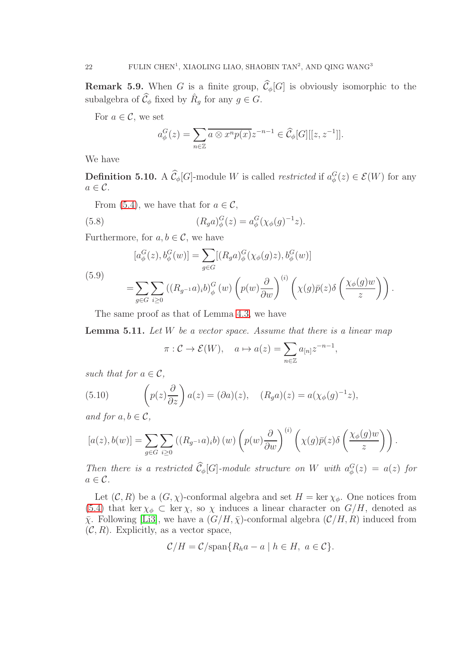**Remark 5.9.** When G is a finite group,  $\widehat{C}_{\phi}[G]$  is obviously isomorphic to the subalgebra of  $\widehat{\mathcal{C}}_{\phi}$  fixed by  $\widehat{R}_g$  for any  $g \in G$ .

For  $a \in \mathcal{C}$ , we set

$$
a_{\phi}^{G}(z) = \sum_{n \in \mathbb{Z}} \overline{a \otimes x^{n} p(x)} z^{-n-1} \in \widehat{\mathcal{C}}_{\phi}[G][[z, z^{-1}]].
$$

We have

**Definition 5.10.** A  $\hat{\mathcal{C}}_{\phi}[G]$ -module W is called *restricted* if  $a_{\phi}^{G}(z) \in \mathcal{E}(W)$  for any  $a \in \mathcal{C}$ .

From [\(5.4\)](#page-18-1), we have that for  $a \in \mathcal{C}$ ,

<span id="page-21-0"></span>(5.8) 
$$
(R_g a)^G_{\phi}(z) = a^G_{\phi}(\chi_{\phi}(g)^{-1}z).
$$

Furthermore, for  $a, b \in \mathcal{C}$ , we have

(5.9)  
\n
$$
[a^G_{\phi}(z), b^G_{\phi}(w)] = \sum_{g \in G} [(R_g a)^G_{\phi}(\chi_{\phi}(g)z), b^G_{\phi}(w)]
$$
\n
$$
= \sum_{g \in G} \sum_{i \ge 0} ((R_{g^{-1}} a)_i b)^G_{\phi}(w) \left( p(w) \frac{\partial}{\partial w} \right)^{(i)} \left( \chi(g) \bar{p}(z) \delta \left( \frac{\chi_{\phi}(g)w}{z} \right) \right).
$$

The same proof as that of Lemma [4.3,](#page-15-3) we have

<span id="page-21-1"></span>**Lemma 5.11.** Let  $W$  be a vector space. Assume that there is a linear map

$$
\pi: \mathcal{C} \to \mathcal{E}(W), \quad a \mapsto a(z) = \sum_{n \in \mathbb{Z}} a_{[n]} z^{-n-1},
$$

such that for  $a \in \mathcal{C}$ ,

(5.10) 
$$
\left(p(z)\frac{\partial}{\partial z}\right)a(z) = (\partial a)(z), \quad (R_g a)(z) = a(\chi_{\phi}(g)^{-1}z),
$$

and for  $a, b \in \mathcal{C}$ ,

$$
[a(z),b(w)] = \sum_{g \in G} \sum_{i\geq 0} ((R_{g^{-1}}a)_i b) (w) \left( p(w) \frac{\partial}{\partial w} \right)^{(i)} \left( \chi(g) \bar{p}(z) \delta \left( \frac{\chi_{\phi}(g) w}{z} \right) \right).
$$

Then there is a restricted  $\widehat{\mathcal{C}}_{\phi}[G]$ -module structure on W with  $a_{\phi}^{G}(z) = a(z)$  for  $a \in \mathcal{C}$ .

Let  $(C, R)$  be a  $(G, \chi)$ -conformal algebra and set  $H = \ker \chi_{\phi}$ . One notices from [\(5.4\)](#page-18-1) that ker  $\chi_{\phi} \subset \ker \chi$ , so  $\chi$  induces a linear character on  $G/H$ , denoted as  $\bar{\chi}$ . Following [\[Li3\]](#page-30-8), we have a  $(G/H, \bar{\chi})$ -conformal algebra  $(\mathcal{C}/H, R)$  induced from  $(C, R)$ . Explicitly, as a vector space,

$$
\mathcal{C}/H = \mathcal{C}/\mathrm{span}\{R_h a - a \mid h \in H, \ a \in \mathcal{C}\}.
$$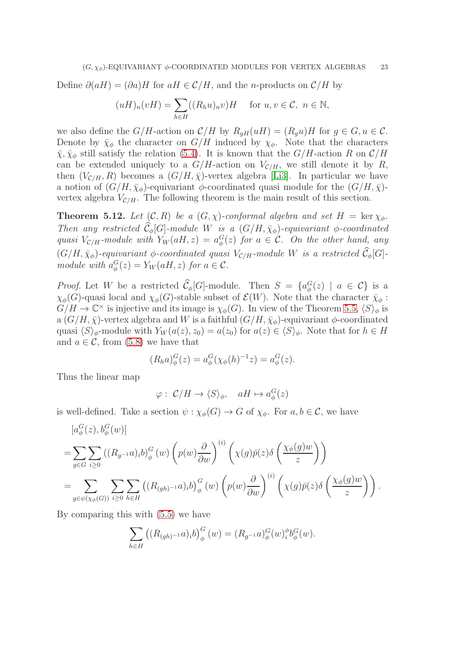Define  $\partial(aH) = (\partial a)H$  for  $aH \in \mathcal{C}/H$ , and the *n*-products on  $\mathcal{C}/H$  by

$$
(uH)_n(vH) = \sum_{h \in H} ((R_h u)_n v)H \quad \text{ for } u, v \in \mathcal{C}, n \in \mathbb{N},
$$

we also define the  $G/H$ -action on  $\mathcal{C}/H$  by  $R_{qH}(uH) = (R_qu)H$  for  $g \in G, u \in \mathcal{C}$ . Denote by  $\bar{\chi}_{\phi}$  the character on  $G/H$  induced by  $\chi_{\phi}$ . Note that the characters  $\bar{\chi}, \bar{\chi}_{\phi}$  still satisfy the relation [\(5.4\)](#page-18-1). It is known that the  $G/H$ -action R on  $\mathcal{C}/H$ can be extended uniquely to a  $G/H$ -action on  $V_{\mathcal{C}/H}$ , we still denote it by R, then  $(V_{\mathcal{C}/H}, R)$  becomes a  $(G/H, \bar{\chi})$ -vertex algebra [\[Li3\]](#page-30-8). In particular we have a notion of  $(G/H, \bar{\chi}_{\phi})$ -equivariant  $\phi$ -coordinated quasi module for the  $(G/H, \bar{\chi})$ vertex algebra  $V_{\mathcal{C}/H}$ . The following theorem is the main result of this section.

<span id="page-22-0"></span>**Theorem 5.12.** Let  $(C, R)$  be a  $(G, \chi)$ -conformal algebra and set  $H = \text{ker } \chi_{\phi}$ . Then any restricted  $\widehat{\mathcal{C}}_{\phi}[G]$ -module W is a  $(G/H, \bar{\chi}_{\phi})$ -equivariant  $\phi$ -coordinated quasi  $V_{\mathcal{C}/H}$ -module with  $Y_W(aH, z) = a_{\phi}^G(z)$  for  $a \in \mathcal{C}$ . On the other hand, any  $(G/H, \bar{\chi}_{\phi})$ -equivariant  $\phi$ -coordinated quasi  $V_{\mathcal{C}/H}$ -module W is a restricted  $\widehat{\mathcal{C}}_{\phi}[G]$ module with  $a_{\phi}^{G}(z) = Y_{W}(aH, z)$  for  $a \in \mathcal{C}$ .

*Proof.* Let W be a restricted  $\tilde{\mathcal{C}}_{\phi}[G]$ -module. Then  $S = \{a_{\phi}^G(z) \mid a \in \mathcal{C}\}\$ is a  $\chi_{\phi}(G)$ -quasi local and  $\chi_{\phi}(G)$ -stable subset of  $\mathcal{E}(W)$ . Note that the character  $\bar{\chi}_{\phi}$ :  $G/H \to \mathbb{C}^\times$  is injective and its image is  $\chi_{\phi}(G)$ . In view of the Theorem [5.5,](#page-19-1)  $\langle S \rangle_{\phi}$  is a  $(G/H, \bar{\chi})$ -vertex algebra and W is a faithful  $(G/H, \bar{\chi}_{\phi})$ -equivariant  $\phi$ -coordinated quasi  $\langle S \rangle_{\phi}$ -module with  $Y_W (a(z), z_0) = a(z_0)$  for  $a(z) \in \langle S \rangle_{\phi}$ . Note that for  $h \in H$ and  $a \in \mathcal{C}$ , from [\(5.8\)](#page-21-0) we have that

$$
(R_h a)^G_{\phi}(z) = a^G_{\phi}(\chi_{\phi}(h)^{-1}z) = a^G_{\phi}(z).
$$

Thus the linear map

$$
\varphi: C/H \to \langle S \rangle_{\phi}, \quad aH \mapsto a_{\phi}^{G}(z)
$$

is well-defined. Take a section  $\psi : \chi_{\phi}(G) \to G$  of  $\chi_{\phi}$ . For  $a, b \in \mathcal{C}$ , we have

$$
[a^G_{\phi}(z), b^G_{\phi}(w)]
$$
  
=
$$
\sum_{g\in G} \sum_{i\geq 0} ((R_{g^{-1}}a)_i b)^G_{\phi}(w) \left( p(w) \frac{\partial}{\partial w} \right)^{(i)} \left( \chi(g) \bar{p}(z) \delta \left( \frac{\chi_{\phi}(g) w}{z} \right) \right)
$$
  
=
$$
\sum_{g\in \psi(\chi_{\phi}(G))} \sum_{i\geq 0} \sum_{h\in H} ((R_{(gh)^{-1}}a)_i b)^G_{\phi}(w) \left( p(w) \frac{\partial}{\partial w} \right)^{(i)} \left( \chi(g) \bar{p}(z) \delta \left( \frac{\chi_{\phi}(g) w}{z} \right) \right).
$$

By comparing this with [\(5.5\)](#page-18-2) we have

$$
\sum_{h \in H} ((R_{(gh)^{-1}}a)_i b)_{\phi}^G (w) = (R_{g^{-1}}a)_{\phi}^G (w)_{i}^{\phi} b_{\phi}^G (w).
$$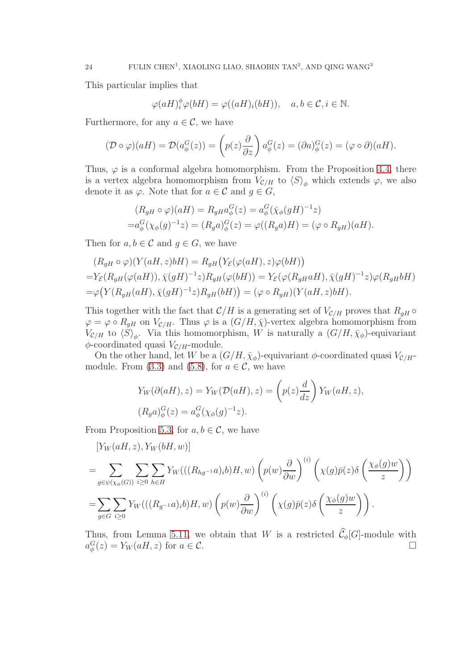This particular implies that

$$
\varphi(aH)_i^{\phi}\varphi(bH) = \varphi((aH)_i(bH)), \quad a, b \in \mathcal{C}, i \in \mathbb{N}.
$$

Furthermore, for any  $a \in \mathcal{C}$ , we have

$$
(\mathcal{D} \circ \varphi)(aH) = \mathcal{D}(a^G_{\phi}(z)) = \left(p(z)\frac{\partial}{\partial z}\right)a^G_{\phi}(z) = (\partial a)^G_{\phi}(z) = (\varphi \circ \partial)(aH).
$$

Thus,  $\varphi$  is a conformal algebra homomorphism. From the Proposition [4.4,](#page-16-1) there is a vertex algebra homomorphism from  $V_{\mathcal{C}/H}$  to  $\langle S \rangle_{\phi}$  which extends  $\varphi$ , we also denote it as  $\varphi$ . Note that for  $a \in \mathcal{C}$  and  $g \in G$ ,

$$
(R_{gH} \circ \varphi)(aH) = R_{gH} a_{\phi}^{G}(z) = a_{\phi}^{G} (\bar{\chi}_{\phi}(gH)^{-1} z)
$$
  
=  $a_{\phi}^{G} (\chi_{\phi}(g)^{-1} z) = (R_{g} a)_{\phi}^{G}(z) = \varphi((R_{g} a)H) = (\varphi \circ R_{gH})(aH).$ 

Then for  $a, b \in \mathcal{C}$  and  $g \in G$ , we have

$$
(R_{gH} \circ \varphi)(Y(aH, z)bH) = R_{gH}(Y_{\mathcal{E}}(\varphi(aH), z)\varphi(bH))
$$
  
= $Y_{\mathcal{E}}(R_{gH}(\varphi(aH)), \overline{\chi}(gH)^{-1}z)R_{gH}(\varphi(bH)) = Y_{\mathcal{E}}(\varphi(R_{gH}aH), \overline{\chi}(gH)^{-1}z)\varphi(R_{gH}bH)$   
= $\varphi(Y(R_{gH}(aH), \overline{\chi}(gH)^{-1}z)R_{gH}(bH)) = (\varphi \circ R_{gH})(Y(aH, z)bH).$ 

This together with the fact that  $\mathcal{C}/H$  is a generating set of  $V_{\mathcal{C}/H}$  proves that  $R_{gH} \circ$  $\varphi = \varphi \circ R_{gH}$  on  $V_{\mathcal{C}/H}$ . Thus  $\varphi$  is a  $(G/H, \bar{\chi})$ -vertex algebra homomorphism from  $V_{\mathcal{C}/H}$  to  $\langle S \rangle_{\phi}$ . Via this homomorphism, W is naturally a  $(G/H, \bar{\chi}_{\phi})$ -equivariant  $\phi$ -coordinated quasi  $V_{\mathcal{C}/H}$ -module.

On the other hand, let W be a  $(G/H, \bar{\chi}_{\phi})$ -equivariant  $\phi$ -coordinated quasi  $V_{\mathcal{C}/H}$ -module. From [\(3.3\)](#page-10-2) and [\(5.8\)](#page-21-0), for  $a \in \mathcal{C}$ , we have

$$
Y_W(\partial(aH), z) = Y_W(\mathcal{D}(aH), z) = \left(p(z)\frac{d}{dz}\right)Y_W(aH, z),
$$
  

$$
(R_g a)^G_{\phi}(z) = a^G_{\phi}(\chi_{\phi}(g)^{-1}z).
$$

From Proposition [5.3,](#page-18-3) for  $a, b \in \mathcal{C}$ , we have

$$
[Y_W(aH, z), Y_W(bH, w)]
$$
  
= 
$$
\sum_{g \in \psi(\chi_{\phi}(G))} \sum_{i \ge 0} \sum_{h \in H} Y_W(((R_{hg^{-1}}a)_i b)H, w) \left( p(w) \frac{\partial}{\partial w} \right)^{(i)} \left( \chi(g) \bar{p}(z) \delta \left( \frac{\chi_{\phi}(g)w}{z} \right) \right)
$$
  
= 
$$
\sum_{g \in G} \sum_{i \ge 0} Y_W(((R_{g^{-1}}a)_i b)H, w) \left( p(w) \frac{\partial}{\partial w} \right)^{(i)} \left( \chi(g) \bar{p}(z) \delta \left( \frac{\chi_{\phi}(g)w}{z} \right) \right).
$$

Thus, from Lemma [5.11,](#page-21-1) we obtain that W is a restricted  $\hat{\mathcal{C}}_{\phi}[G]$ -module with  $a_{\phi}^{G}(z) = Y_{W}(aH, z)$  for  $a \in \mathcal{C}$ .  $a_{\phi}^{G}(z) = Y_{W}(aH, z)$  for  $a \in \mathcal{C}$ .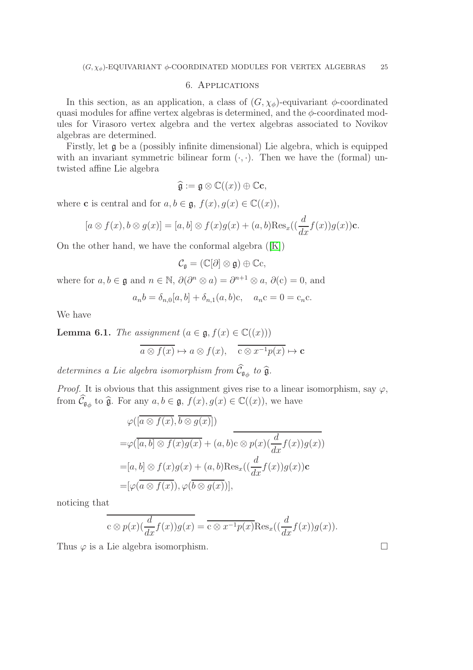### 6. Applications

In this section, as an application, a class of  $(G, \chi_{\phi})$ -equivariant  $\phi$ -coordinated quasi modules for affine vertex algebras is determined, and the  $\phi$ -coordinated modules for Virasoro vertex algebra and the vertex algebras associated to Novikov algebras are determined.

Firstly, let  $\frak{g}$  be a (possibly infinite dimensional) Lie algebra, which is equipped with an invariant symmetric bilinear form  $(·, ·)$ . Then we have the (formal) untwisted affine Lie algebra

$$
\widehat{\mathfrak{g}} := \mathfrak{g} \otimes \mathbb{C}((x)) \oplus \mathbb{C}c,
$$

where **c** is central and for  $a, b \in \mathfrak{g}$ ,  $f(x), g(x) \in \mathbb{C}((x))$ ,

$$
[a\otimes f(x), b\otimes g(x)] = [a, b] \otimes f(x)g(x) + (a, b)\text{Res}_{x}((\frac{d}{dx}f(x))g(x))\mathbf{c}.
$$

Onthe other hand, we have the conformal algebra  $([K])$  $([K])$  $([K])$ 

$$
\mathcal{C}_{\mathfrak{g}}=(\mathbb{C}[\partial]\otimes\mathfrak{g})\oplus\mathbb{C}\mathrm{c},
$$

where for  $a, b \in \mathfrak{g}$  and  $n \in \mathbb{N}$ ,  $\partial(\partial^n \otimes a) = \partial^{n+1} \otimes a$ ,  $\partial(c) = 0$ , and

$$
a_n b = \delta_{n,0}[a, b] + \delta_{n,1}(a, b)c
$$
,  $a_n c = 0 = c_n c$ .

We have

<span id="page-24-0"></span>**Lemma 6.1.** The assignment 
$$
(a \in \mathfrak{g}, f(x) \in \mathbb{C}((x)))
$$
  
\n
$$
\overline{a \otimes f(x)} \mapsto a \otimes f(x), \quad \overline{c \otimes x^{-1}p(x)} \mapsto c
$$

determines a Lie algebra isomorphism from  $\mathcal{C}_{\mathfrak{g}_{\phi}}$  to  $\widehat{\mathfrak{g}}$ .

*Proof.* It is obvious that this assignment gives rise to a linear isomorphism, say  $\varphi$ , from  $\widehat{\mathcal{C}}_{\mathfrak{g}_{\phi}}$  to  $\widehat{\mathfrak{g}}$ . For any  $a, b \in \mathfrak{g}$ ,  $f(x), g(x) \in \mathbb{C}((x))$ , we have

$$
\varphi([\overline{a \otimes f(x)}, \overline{b \otimes g(x)}])
$$
\n
$$
= \varphi([\overline{a}, b] \otimes f(x)g(x) + (a, b)c \otimes p(x)(\frac{d}{dx}f(x))g(x))
$$
\n
$$
= [a, b] \otimes f(x)g(x) + (a, b)Res_x((\frac{d}{dx}f(x))g(x))c
$$
\n
$$
= [\varphi(\overline{a \otimes f(x)}), \varphi(\overline{b \otimes g(x)})],
$$

noticing that

$$
\overline{c \otimes p(x) (\frac{d}{dx} f(x)) g(x)} = \overline{c \otimes x^{-1} p(x)} \text{Res}_{x}((\frac{d}{dx} f(x)) g(x)).
$$

Thus  $\varphi$  is a Lie algebra isomorphism.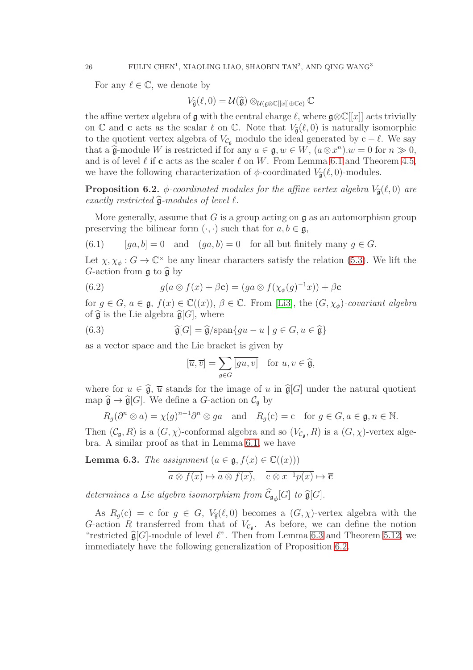For any  $\ell \in \mathbb{C}$ , we denote by

$$
V_{\widehat{\mathfrak{g}}}(\ell,0) = \mathcal{U}(\widehat{\mathfrak{g}}) \otimes_{\mathcal{U}(\mathfrak{g} \otimes \mathbb{C}[[x]] \oplus \mathbb{C}c)} \mathbb{C}
$$

the affine vertex algebra of  $\mathfrak g$  with the central charge  $\ell$ , where  $\mathfrak g\otimes\mathbb C[[x]]$  acts trivially on C and c acts as the scalar  $\ell$  on C. Note that  $V_{\hat{\mathfrak{g}}}(\ell,0)$  is naturally isomorphic to the quotient vertex algebra of  $V_{\mathcal{C}_q}$  modulo the ideal generated by c –  $\ell$ . We say that a  $\hat{\mathfrak{g}}$ -module W is restricted if for any  $a \in \mathfrak{g}, w \in W$ ,  $(a \otimes x^n).w = 0$  for  $n \gg 0$ , and is of level  $\ell$  if c acts as the scaler  $\ell$  on W. From Lemma [6.1](#page-24-0) and Theorem [4.5,](#page-16-2) we have the following characterization of  $\phi$ -coordinated  $V_{\hat{\mathfrak{g}}}(\ell,0)$ -modules.

<span id="page-25-1"></span>**Proposition 6.2.**  $\phi$ -coordinated modules for the affine vertex algebra  $V_{\hat{a}}(\ell, 0)$  are exactly restricted  $\hat{\mathfrak{g}}$ -modules of level  $\ell$ .

More generally, assume that G is a group acting on  $\mathfrak g$  as an automorphism group preserving the bilinear form  $(\cdot, \cdot)$  such that for  $a, b \in \mathfrak{g}$ ,

(6.1) 
$$
[ga, b] = 0
$$
 and  $(ga, b) = 0$  for all but finitely many  $g \in G$ .

Let  $\chi, \chi_{\phi}: G \to \mathbb{C}^{\times}$  be any linear characters satisfy the relation [\(5.3\)](#page-18-0). We lift the G-action from  $\mathfrak g$  to  $\widehat{\mathfrak g}$  by

(6.2) 
$$
g(a \otimes f(x) + \beta \mathbf{c}) = (ga \otimes f(\chi_{\phi}(g)^{-1}x)) + \beta \mathbf{c}
$$

for  $g \in G$ ,  $a \in \mathfrak{g}$ ,  $f(x) \in \mathbb{C}((x))$ ,  $\beta \in \mathbb{C}$ . From [\[Li3\]](#page-30-8), the  $(G, \chi_{\phi})$ -covariant algebra of  $\widehat{\mathfrak{g}}$  is the Lie algebra  $\widehat{\mathfrak{g}}[G]$ , where

(6.3) 
$$
\widehat{\mathfrak{g}}[G] = \widehat{\mathfrak{g}}/\mathrm{span}\{gu - u \mid g \in G, u \in \widehat{\mathfrak{g}}\}
$$

as a vector space and the Lie bracket is given by

$$
[\overline{u}, \overline{v}] = \sum_{g \in G} \overline{[gu, v]} \quad \text{for } u, v \in \widehat{\mathfrak{g}},
$$

where for  $u \in \hat{\mathfrak{g}}, \overline{u}$  stands for the image of u in  $\hat{\mathfrak{g}}[G]$  under the natural quotient map  $\widehat{\mathfrak{g}} \to \widehat{\mathfrak{g}}[G]$ . We define a G-action on  $\mathcal{C}_{\mathfrak{g}}$  by

$$
R_g(\partial^n \otimes a) = \chi(g)^{n+1} \partial^n \otimes ga
$$
 and  $R_g(c) = c$  for  $g \in G, a \in \mathfrak{g}, n \in \mathbb{N}$ .

Then  $(C_{\mathfrak{g}}, R)$  is a  $(G, \chi)$ -conformal algebra and so  $(V_{C_{\mathfrak{g}}}, R)$  is a  $(G, \chi)$ -vertex algebra. A similar proof as that in Lemma [6.1,](#page-24-0) we have

<span id="page-25-0"></span>**Lemma 6.3.** The assignment 
$$
(a \in \mathfrak{g}, f(x) \in \mathbb{C}((x)))
$$
  
\n
$$
\overline{a \otimes f(x)} \mapsto \overline{a \otimes f(x)}, \quad \overline{c \otimes x^{-1}p(x)} \mapsto \overline{c}
$$

determines a Lie algebra isomorphism from  $\mathcal{C}_{\mathfrak{g}_{\phi}}[G]$  to  $\widehat{\mathfrak{g}}[G]$ .

As  $R_g(c) = c$  for  $g \in G$ ,  $V_{\hat{g}}(\ell, 0)$  becomes a  $(G, \chi)$ -vertex algebra with the G-action R transferred from that of  $V_{\mathcal{C}_{\mathfrak{g}}}$ . As before, we can define the notion "restricted  $\hat{\mathfrak{g}}[G]$ -module of level  $\ell$ ". Then from Lemma [6.3](#page-25-0) and Theorem [5.12,](#page-22-0) we immediately have the following generalization of Proposition [6.2.](#page-25-1)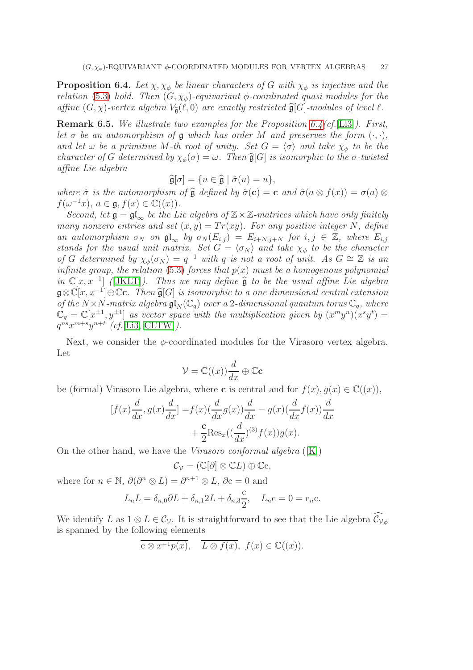<span id="page-26-0"></span>**Proposition 6.4.** Let  $\chi, \chi_{\phi}$  be linear characters of G with  $\chi_{\phi}$  is injective and the relation [\(5.3\)](#page-18-0) hold. Then  $(G, \chi_{\phi})$ -equivariant  $\phi$ -coordinated quasi modules for the affine  $(G, \chi)$ -vertex algebra  $V_{\hat{a}}(\ell, 0)$  are exactly restricted  $\hat{g}[G]$ -modules of level  $\ell$ .

**Remark 6.5.** We illustrate two examples for the Proposition  $6.4$  (cf. [\[Li3\]](#page-30-8)). First, let  $\sigma$  be an automorphism of  $\mathfrak g$  which has order M and preserves the form  $(\cdot, \cdot)$ , and let  $\omega$  be a primitive M-th root of unity. Set  $G = \langle \sigma \rangle$  and take  $\chi_{\phi}$  to be the character of G determined by  $\chi_{\phi}(\sigma) = \omega$ . Then  $\widehat{\mathfrak{g}}[G]$  is isomorphic to the  $\sigma$ -twisted affine Lie algebra

$$
\widehat{\mathfrak{g}}[\sigma] = \{ u \in \widehat{\mathfrak{g}} \mid \widehat{\sigma}(u) = u \},
$$

where  $\hat{\sigma}$  is the automorphism of  $\hat{\mathfrak{g}}$  defined by  $\hat{\sigma}(\mathbf{c}) = \mathbf{c}$  and  $\hat{\sigma}(a \otimes f(x)) = \sigma(a) \otimes f(a)$  $f(\omega^{-1}x), a \in \mathfrak{g}, f(x) \in \mathbb{C}((x)).$ 

Second, let  $\mathfrak{g} = \mathfrak{gl}_{\infty}$  be the Lie algebra of  $\mathbb{Z} \times \mathbb{Z}$ -matrices which have only finitely many nonzero entries and set  $(x, y) = Tr(xy)$ . For any positive integer N, define an automorphism  $\sigma_N$  on  $\mathfrak{gl}_{\infty}$  by  $\sigma_N(E_{i,j}) = E_{i+N,j+N}$  for  $i, j \in \mathbb{Z}$ , where  $E_{i,j}$ stands for the usual unit matrix. Set  $G = \langle \sigma_N \rangle$  and take  $\chi_{\phi}$  to be the character of G determined by  $\chi_{\phi}(\sigma_N) = q^{-1}$  with q is not a root of unit. As  $G \cong \mathbb{Z}$  is an infinite group, the relation [\(5.3\)](#page-18-0) forces that  $p(x)$  must be a homogenous polynomial in  $\mathbb{C}[x, x^{-1}]$  ([\[JKLT\]](#page-30-0)). Thus we may define  $\hat{\mathfrak{g}}$  to be the usual affine Lie algebra  $\mathfrak{g}\otimes\mathbb{C}[x,x^{-1}]\oplus\mathbb{C}$ c. Then  $\widehat{\mathfrak{g}}[G]$  is isomorphic to a one dimensional central extension of the  $N \times N$ -matrix algebra  $\mathfrak{gl}_N(\mathbb{C}_q)$  over a 2-dimensional quantum torus  $\mathbb{C}_q$ , where  $\mathbb{C}_q = \mathbb{C}[x^{\pm 1}, y^{\pm 1}]$  as vector space with the multiplication given by  $(x^m y^n)(x^s y^t) =$  $q^{ns}x^{m+s}y^{n+t}$  (cf.[\[Li3,](#page-30-8) [CLTW\]](#page-29-6)).

Next, we consider the  $\phi$ -coordinated modules for the Virasoro vertex algebra. Let

$$
\mathcal{V} = \mathbb{C}((x)) \frac{d}{dx} \oplus \mathbb{C}c
$$

be (formal) Virasoro Lie algebra, where **c** is central and for  $f(x)$ ,  $g(x) \in \mathbb{C}((x))$ ,

$$
[f(x)\frac{d}{dx}, g(x)\frac{d}{dx}] = f(x)\left(\frac{d}{dx}g(x)\right)\frac{d}{dx} - g(x)\left(\frac{d}{dx}f(x)\right)\frac{d}{dx} + \frac{c}{2}\text{Res}_x\left(\frac{d}{dx}\right)^{(3)}f(x)g(x).
$$

On the other hand, we have the *Virasoro conformal algebra*  $([K])$  $([K])$  $([K])$ 

$$
\mathcal{C}_{\mathcal{V}} = (\mathbb{C}[\partial] \otimes \mathbb{C}L) \oplus \mathbb{C}c,
$$

where for  $n \in \mathbb{N}$ ,  $\partial(\partial^n \otimes L) = \partial^{n+1} \otimes L$ ,  $\partial c = 0$  and

$$
L_n L = \delta_{n,0} \partial L + \delta_{n,1} 2L + \delta_{n,3} \frac{c}{2}, \quad L_n c = 0 = c_n c.
$$

We identify L as  $1 \otimes L \in C_{\mathcal{V}}$ . It is straightforward to see that the Lie algebra  $\widehat{C_{\mathcal{V}}}_{\phi}$ is spanned by the following elements

$$
\overline{c \otimes x^{-1}p(x)}, \quad \overline{L \otimes f(x)}, \ f(x) \in \mathbb{C}((x)).
$$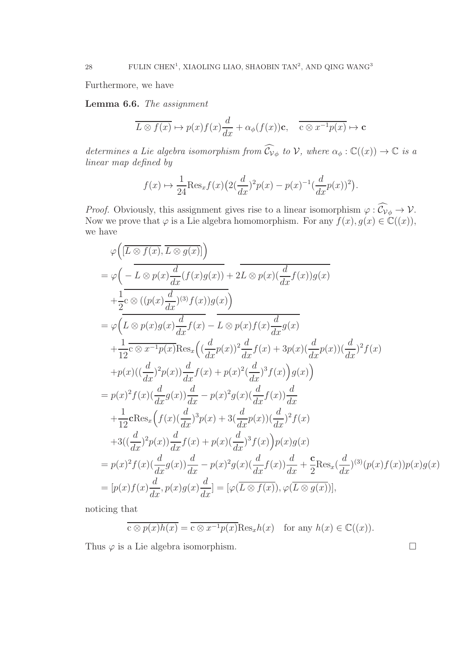Furthermore, we have

<span id="page-27-0"></span>Lemma 6.6. The assignment

$$
\overline{L \otimes f(x)} \mapsto p(x)f(x)\frac{d}{dx} + \alpha_{\phi}(f(x))\mathbf{c}, \quad \overline{\mathbf{c} \otimes x^{-1}p(x)} \mapsto \mathbf{c}
$$

determines a Lie algebra isomorphism from  $\widehat{C}_{\nu_{\phi}}$  to  $\mathcal{V}$ , where  $\alpha_{\phi}: \mathbb{C}((x)) \to \mathbb{C}$  is a linear map defined by

$$
f(x) \mapsto \frac{1}{24} \text{Res}_x f(x) \left( 2(\frac{d}{dx})^2 p(x) - p(x)^{-1} (\frac{d}{dx} p(x))^2 \right).
$$

*Proof.* Obviously, this assignment gives rise to a linear isomorphism  $\varphi : \mathcal{C}_{\mathcal{V}_{\phi}} \to \mathcal{V}$ . Now we prove that  $\varphi$  is a Lie algebra homomorphism. For any  $f(x), g(x) \in \mathbb{C}((x)),$ we have

$$
\varphi\left([\overline{L\otimes f(x)}, \overline{L\otimes g(x)}]\right)
$$
\n
$$
= \varphi\left(-\overline{L\otimes p(x)}\frac{d}{dx}(f(x)g(x)) + 2\overline{L\otimes p(x)}\frac{d}{dx}f(x)g(x)\right)
$$
\n
$$
+ \frac{1}{2}c\otimes((p(x)\frac{d}{dx})^{(3)}f(x))g(x)\right)
$$
\n
$$
= \varphi\left(\overline{L\otimes p(x)}g(x)\frac{d}{dx}f(x) - \overline{L\otimes p(x)}f(x)\frac{d}{dx}g(x)\right)
$$
\n
$$
+ \frac{1}{12}c\otimes x^{-1}p(x)\text{Res}_{x}\left((\frac{d}{dx}p(x))^{2}\frac{d}{dx}f(x) + 3p(x)(\frac{d}{dx}p(x))\left(\frac{d}{dx}p^{2}\right)f(x)\right)
$$
\n
$$
+ p(x)((\frac{d}{dx})^{2}p(x))\frac{d}{dx}f(x) + p(x)^{2}(\frac{d}{dx})^{3}f(x)\right)g(x)\right)
$$
\n
$$
= p(x)^{2}f(x)(\frac{d}{dx}g(x))\frac{d}{dx} - p(x)^{2}g(x)(\frac{d}{dx}f(x))\frac{d}{dx}
$$
\n
$$
+ \frac{1}{12}\text{CRes}_{x}\left(f(x)(\frac{d}{dx})^{3}p(x) + 3(\frac{d}{dx}p(x))\left(\frac{d}{dx}\right)^{2}f(x)\right)
$$
\n
$$
+ 3((\frac{d}{dx})^{2}p(x))\frac{d}{dx}f(x) + p(x)(\frac{d}{dx})^{3}f(x)\right)p(x)g(x)
$$
\n
$$
= p(x)^{2}f(x)(\frac{d}{dx}g(x))\frac{d}{dx} - p(x)^{2}g(x)(\frac{d}{dx}f(x))\frac{d}{dx} + \frac{\mathbf{c}}{2}\text{Res}_{x}(\frac{d}{dx})^{(3)}(p(x)f(x))p(x)g(x)
$$
\n
$$
= [p(x)f(x)\frac{d}{dx}, p(x)g(x)\frac{d}{dx}] = [\varphi(\overline{L\otimes f(x)}), \varphi(\overline{L\otimes g(x)})],
$$

noticing that

$$
\overline{c \otimes p(x)h(x)} = \overline{c \otimes x^{-1}p(x)} \text{Res}_x h(x) \quad \text{for any } h(x) \in \mathbb{C}((x)).
$$

Thus  $\varphi$  is a Lie algebra isomorphism.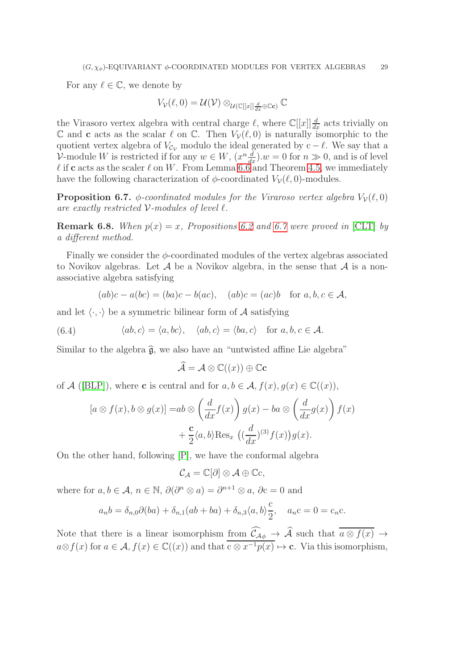For any  $\ell \in \mathbb{C}$ , we denote by

 $V_{\mathcal{V}}(\ell,0) = \mathcal{U}(\mathcal{V}) \otimes_{\mathcal{U}(\mathbb{C}[[x]] \frac{d}{dx} \oplus \mathbb{C}e)} \mathbb{C}$ 

the Virasoro vertex algebra with central charge  $\ell$ , where  $\mathbb{C}[[x]]\frac{d}{dx}$  acts trivially on  $\mathbb C$  and c acts as the scalar  $\ell$  on  $\mathbb C$ . Then  $V_{\mathcal{V}}(\ell,0)$  is naturally isomorphic to the quotient vertex algebra of  $V_{\mathcal{C}_V}$  modulo the ideal generated by c –  $\ell$ . We say that a V-module W is restricted if for any  $w \in W$ ,  $(x^n \frac{d}{dx}) \cdot w = 0$  for  $n \gg 0$ , and is of level  $\ell$  if c acts as the scaler  $\ell$  on W. From Lemma [6.6](#page-27-0) and Theorem [4.5,](#page-16-2) we immediately have the following characterization of  $\phi$ -coordinated  $V_{\mathcal{V}}(\ell, 0)$ -modules.

<span id="page-28-0"></span>**Proposition 6.7.**  $\phi$ -coordinated modules for the Viraroso vertex algebra  $V_{\mathcal{V}}(\ell,0)$ are exactly restricted  $V$ -modules of level  $\ell$ .

**Remark 6.8.** When  $p(x) = x$ , Propositions [6.2](#page-25-1) and [6.7](#page-28-0) were proved in [\[CLT\]](#page-29-7) by a different method.

Finally we consider the  $\phi$ -coordinated modules of the vertex algebras associated to Novikov algebras. Let  $A$  be a Novikov algebra, in the sense that  $A$  is a nonassociative algebra satisfying

 $(ab)c - a(bc) = (ba)c - b(ac), (ab)c = (ac)b$  for  $a, b, c \in \mathcal{A}$ ,

and let  $\langle \cdot, \cdot \rangle$  be a symmetric bilinear form of A satisfying

(6.4)  $\langle ab, c \rangle = \langle a, bc \rangle, \quad \langle ab, c \rangle = \langle ba, c \rangle$  for  $a, b, c \in \mathcal{A}$ .

Similar to the algebra  $\hat{g}$ , we also have an "untwisted affine Lie algebra"

$$
\widehat{\mathcal{A}} = \mathcal{A} \otimes \mathbb{C}((x)) \oplus \mathbb{C}c
$$

of A ([\[BLP\]](#page-29-2)), where **c** is central and for  $a, b \in A$ ,  $f(x), g(x) \in \mathbb{C}((x))$ ,

$$
[a \otimes f(x), b \otimes g(x)] = ab \otimes \left(\frac{d}{dx}f(x)\right)g(x) - ba \otimes \left(\frac{d}{dx}g(x)\right)f(x) + \frac{c}{2}\langle a, b \rangle \text{Res}_{x} \left((\frac{d}{dx})^{(3)}f(x)\right)g(x).
$$

On the other hand, following [\[P\]](#page-30-7), we have the conformal algebra

$$
\mathcal{C}_\mathcal{A}=\mathbb{C}[\partial]\otimes\mathcal{A}\oplus\mathbb{C}c,
$$

where for  $a, b \in \mathcal{A}$ ,  $n \in \mathbb{N}$ ,  $\partial(\partial^n \otimes a) = \partial^{n+1} \otimes a$ ,  $\partial c = 0$  and

$$
a_n b = \delta_{n,0} \partial (ba) + \delta_{n,1} (ab + ba) + \delta_{n,3} \langle a, b \rangle \frac{c}{2}, \quad a_n c = 0 = c_n c.
$$

Note that there is a linear isomorphism from  $\mathcal{C}_{\mathcal{A}\phi} \to \mathcal{A}$  such that  $a \otimes f(x) \to a$  $a\otimes f(x)$  for  $a\in\mathcal{A}, f(x)\in\mathbb{C}((x))$  and that  $\overline{c\otimes x^{-1}p(x)}\mapsto c$ . Via this isomorphism,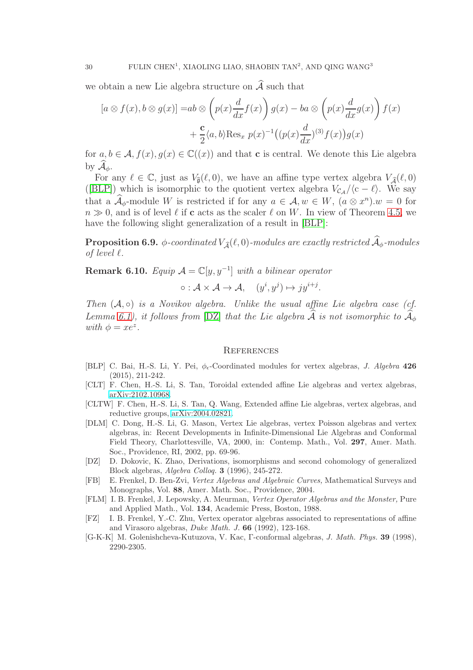we obtain a new Lie algebra structure on  $\widehat{\mathcal{A}}$  such that

$$
[a \otimes f(x), b \otimes g(x)] = ab \otimes \left(p(x)\frac{d}{dx}f(x)\right)g(x) - ba \otimes \left(p(x)\frac{d}{dx}g(x)\right)f(x) + \frac{c}{2}\langle a, b\rangle \text{Res}_{x} p(x)^{-1} \left((p(x)\frac{d}{dx})^{(3)}f(x)\right)g(x)
$$

for  $a, b \in \mathcal{A}, f(x), g(x) \in \mathbb{C}((x))$  and that **c** is central. We denote this Lie algebra by  $\mathcal{A}_{\phi}$ .

For any  $\ell \in \mathbb{C}$ , just as  $V_{\hat{\mathfrak{g}}}(\ell,0)$ , we have an affine type vertex algebra  $V_{\hat{\mathfrak{g}}}(\ell,0)$ ([\[BLP\]](#page-29-2)) which is isomorphic to the quotient vertex algebra  $V_{\mathcal{C}_{\mathcal{A}}}/\langle c - \ell \rangle$ . We say that a  $\mathcal{A}_{\phi}$ -module W is restricted if for any  $a \in \mathcal{A}, w \in W$ ,  $(a \otimes x^n) . w = 0$  for  $n \gg 0$ , and is of level  $\ell$  if c acts as the scaler  $\ell$  on W. In view of Theorem [4.5,](#page-16-2) we have the following slight generalization of a result in [\[BLP\]](#page-29-2):

**Proposition 6.9.**  $\phi$ -coordinated  $V_{\hat{\mathcal{A}}}(\ell,0)$ -modules are exactly restricted  $\widehat{A}_{\phi}$ -modules of level  $\ell$ .

**Remark 6.10.** Equip  $\mathcal{A} = \mathbb{C}[y, y^{-1}]$  with a bilinear operator

$$
\circ: \mathcal{A} \times \mathcal{A} \to \mathcal{A}, \quad (y^i, y^j) \mapsto jy^{i+j}.
$$

Then  $(A, \circ)$  is a Novikov algebra. Unlike the usual affine Lie algebra case (cf. Lemma [6.1\)](#page-24-0), it follows from [\[DZ\]](#page-29-8) that the Lie algebra  $\widehat{A}$  is not isomorphic to  $\widehat{A}_{\phi}$ with  $\phi = xe^z$ .

#### **REFERENCES**

- <span id="page-29-2"></span>[BLP] C. Bai, H.-S. Li, Y. Pei,  $\phi_{\epsilon}$ -Coordinated modules for vertex algebras, *J. Algebra* 426 (2015), 211-242.
- <span id="page-29-7"></span>[CLT] F. Chen, H.-S. Li, S. Tan, Toroidal extended affine Lie algebras and vertex algebras, [arXiv:2102.10968.](http://arxiv.org/abs/2102.10968)
- <span id="page-29-6"></span>[CLTW] F. Chen, H.-S. Li, S. Tan, Q. Wang, Extended affine Lie algebras, vertex algebras, and reductive groups, [arXiv:2004.02821.](http://arxiv.org/abs/2004.02821)
- <span id="page-29-3"></span>[DLM] C. Dong, H.-S. Li, G. Mason, Vertex Lie algebras, vertex Poisson algebras and vertex algebras, in: Recent Developments in Infinite-Dimensional Lie Algebras and Conformal Field Theory, Charlottesville, VA, 2000, in: Contemp. Math., Vol. 297, Amer. Math. Soc., Providence, RI, 2002, pp. 69-96.
- <span id="page-29-8"></span>[DZ] D. Dokovic, K. Zhao, Derivations, isomorphisms and second cohomology of generalized Block algebras, Algebra Colloq. 3 (1996), 245-272.
- <span id="page-29-5"></span>[FB] E. Frenkel, D. Ben-Zvi, Vertex Algebras and Algebraic Curves, Mathematical Surveys and Monographs, Vol. 88, Amer. Math. Soc., Providence, 2004.
- <span id="page-29-0"></span>[FLM] I. B. Frenkel, J. Lepowsky, A. Meurman, Vertex Operator Algebras and the Monster, Pure and Applied Math., Vol. 134, Academic Press, Boston, 1988.
- <span id="page-29-1"></span>[FZ] I. B. Frenkel, Y.-C. Zhu, Vertex operator algebras associated to representations of affine and Virasoro algebras, Duke Math. J. 66 (1992), 123-168.
- <span id="page-29-4"></span>[G-K-K] M. Golenishcheva-Kutuzova, V. Kac, Γ-conformal algebras, J. Math. Phys. 39 (1998), 2290-2305.